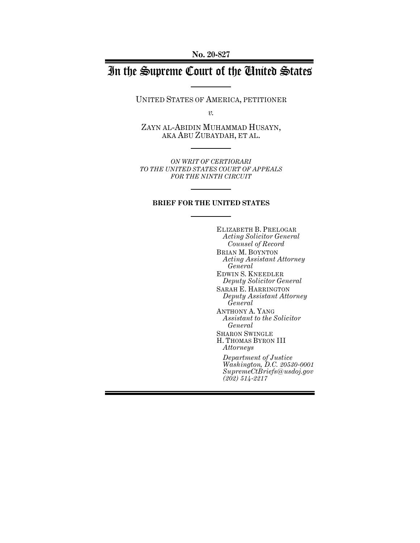**No. 20-827**

# In the Supreme Court of the United States

UNITED STATES OF AMERICA, PETITIONER

*v.*

ZAYN AL-ABIDIN MUHAMMAD HUSAYN, AKA ABU ZUBAYDAH, ET AL.

*ON WRIT OF CERTIORARI TO THE UNITED STATES COURT OF APPEALS FOR THE NINTH CIRCUIT*

#### **BRIEF FOR THE UNITED STATES**

ELIZABETH B. PRELOGAR *Acting Solicitor General Counsel of Record* BRIAN M. BOYNTON *Acting Assistant Attorney General* EDWIN S. KNEEDLER *Deputy Solicitor General* SARAH E. HARRINGTON *Deputy Assistant Attorney General* ANTHONY A. YANG *Assistant to the Solicitor General* SHARON SWINGLE H. THOMAS BYRON III *Attorneys Department of Justice Washington, D.C. 20530-0001 SupremeCtBriefs@usdoj.gov (202) 514-2217*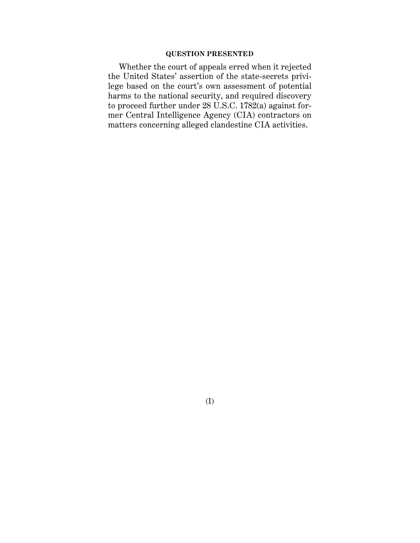## **QUESTION PRESENTED**

Whether the court of appeals erred when it rejected the United States' assertion of the state-secrets privilege based on the court's own assessment of potential harms to the national security, and required discovery to proceed further under  $28 \text{ U.S.C. } 1782(a)$  against former Central Intelligence Agency (CIA) contractors on matters concerning alleged clandestine CIA activities.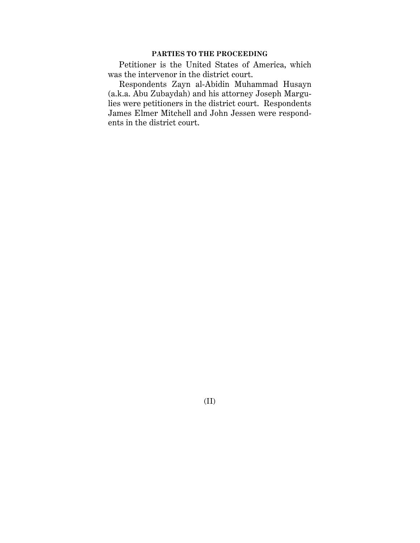## **PARTIES TO THE PROCEEDING**

Petitioner is the United States of America, which was the intervenor in the district court.

Respondents Zayn al-Abidin Muhammad Husayn (a.k.a. Abu Zubaydah) and his attorney Joseph Margulies were petitioners in the district court. Respondents James Elmer Mitchell and John Jessen were respondents in the district court.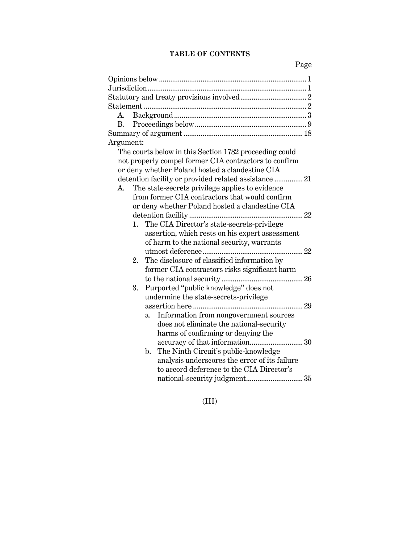# **TABLE OF CONTENTS**

Page

| А.                                                     |
|--------------------------------------------------------|
| B.                                                     |
|                                                        |
| Argument:                                              |
| The courts below in this Section 1782 proceeding could |
| not properly compel former CIA contractors to confirm  |
| or deny whether Poland hosted a clandestine CIA        |
| detention facility or provided related assistance  21  |
| The state-secrets privilege applies to evidence<br>A.  |
| from former CIA contractors that would confirm         |
| or deny whether Poland hosted a clandestine CIA        |
|                                                        |
| The CIA Director's state-secrets-privilege<br>1.       |
| assertion, which rests on his expert assessment        |
| of harm to the national security, warrants             |
| 22                                                     |
| The disclosure of classified information by<br>2.      |
| former CIA contractors risks significant harm          |
|                                                        |
| Purported "public knowledge" does not<br>3.            |
| undermine the state-secrets-privilege                  |
|                                                        |
| Information from nongovernment sources<br>a.           |
| does not eliminate the national-security               |
| harms of confirming or denying the                     |
|                                                        |
| The Ninth Circuit's public-knowledge<br>$\mathbf{b}$ . |
| analysis underscores the error of its failure          |
| to accord deference to the CIA Director's              |
|                                                        |

(III)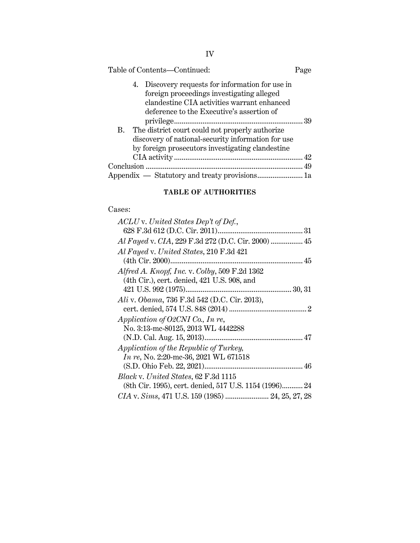| Table of Contents-Continued:                                                                                                                                                                 | Page |
|----------------------------------------------------------------------------------------------------------------------------------------------------------------------------------------------|------|
| Discovery requests for information for use in<br>4.<br>foreign proceedings investigating alleged<br>clandestine CIA activities warrant enhanced<br>deference to the Executive's assertion of |      |
|                                                                                                                                                                                              |      |
| The district court could not properly authorize<br>В.                                                                                                                                        |      |
| discovery of national-security information for use                                                                                                                                           |      |
| by foreign prosecutors investigating clandestine                                                                                                                                             |      |
|                                                                                                                                                                                              |      |
|                                                                                                                                                                                              |      |
|                                                                                                                                                                                              |      |

# **TABLE OF AUTHORITIES**

# Cases:

| ACLU v. United States Dep't of Def.,                   |
|--------------------------------------------------------|
|                                                        |
| Al Fayed v. CIA, 229 F.3d 272 (D.C. Cir. 2000)  45     |
| Al Fayed v. United States, 210 F.3d 421                |
|                                                        |
| Alfred A. Knopf, Inc. v. Colby, 509 F.2d 1362          |
| (4th Cir.), cert. denied, 421 U.S. 908, and            |
|                                                        |
| Ali v. Obama, 736 F.3d 542 (D.C. Cir. 2013),           |
|                                                        |
| Application of O2CNI Co., In re,                       |
| No. 3:13-mc-80125, 2013 WL 4442288                     |
|                                                        |
| Application of the Republic of Turkey,                 |
| In re, No. 2:20-mc-36, 2021 WL 671518                  |
|                                                        |
| <i>Black v. United States, 62 F.3d 1115</i>            |
| (8th Cir. 1995), cert. denied, 517 U.S. 1154 (1996) 24 |
| CIA v. Sims, 471 U.S. 159 (1985)  24, 25, 27, 28       |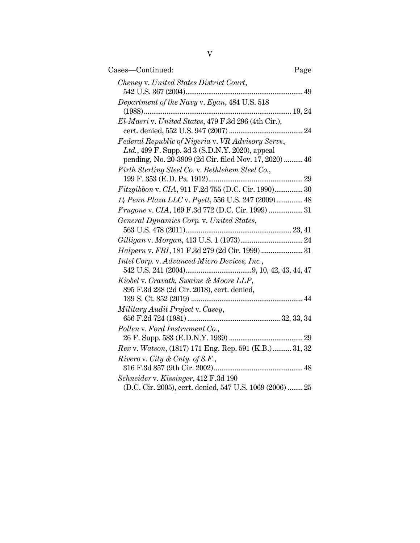| Cases—Continued:                                         | Page |
|----------------------------------------------------------|------|
| Cheney v. United States District Court,                  |      |
|                                                          |      |
| Department of the Navy v. Egan, 484 U.S. 518             |      |
|                                                          |      |
| El-Masri v. United States, 479 F.3d 296 (4th Cir.),      |      |
|                                                          |      |
| Federal Republic of Nigeria v. VR Advisory Servs.,       |      |
| Ltd., 499 F. Supp. 3d 3 (S.D.N.Y. 2020), appeal          |      |
| pending, No. 20-3909 (2d Cir. filed Nov. 17, 2020)  46   |      |
| Firth Sterling Steel Co. v. Bethlehem Steel Co.,         |      |
|                                                          |      |
| Fitzgibbon v. CIA, 911 F.2d 755 (D.C. Cir. 1990) 30      |      |
| 14 Penn Plaza LLC v. Pyett, 556 U.S. 247 (2009) 48       |      |
| Frugone v. CIA, 169 F.3d 772 (D.C. Cir. 1999)  31        |      |
| General Dynamics Corp. v. United States,                 |      |
|                                                          |      |
|                                                          |      |
| Halpern v. FBI, 181 F.3d 279 (2d Cir. 1999)  31          |      |
| Intel Corp. v. Advanced Micro Devices, Inc.,             |      |
|                                                          |      |
| Kiobel v. Cravath, Swaine & Moore LLP,                   |      |
| 895 F.3d 238 (2d Cir. 2018), cert. denied,               |      |
|                                                          |      |
| Military Audit Project v. Casey,                         |      |
| Pollen v. Ford Instrument Co.,                           |      |
|                                                          |      |
| Rex v. Watson, (1817) 171 Eng. Rep. 591 (K.B.) 31, 32    |      |
| Rivero v. City & Cnty. of S.F.,                          |      |
|                                                          |      |
| Schneider v. Kissinger, 412 F.3d 190                     |      |
| (D.C. Cir. 2005), cert. denied, 547 U.S. 1069 (2006)  25 |      |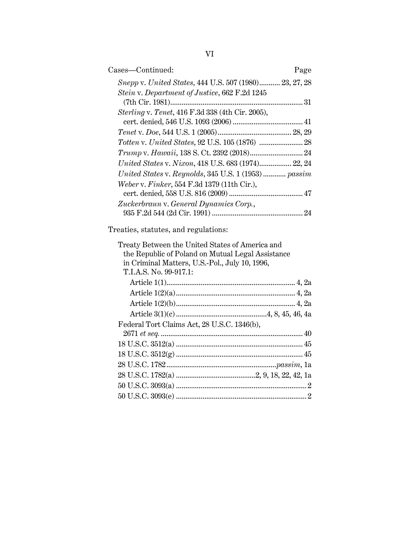| Cases-Continued:                                        | Page |
|---------------------------------------------------------|------|
| Snepp v. United States, 444 U.S. 507 (1980) 23, 27, 28  |      |
| Stein v. Department of Justice, 662 F.2d 1245           |      |
| <i>Sterling v. Tenet,</i> 416 F.3d 338 (4th Cir. 2005), |      |
|                                                         |      |
|                                                         |      |
|                                                         |      |
| United States v. Nixon, 418 U.S. 683 (1974) 22, 24      |      |
| United States v. Reynolds, 345 U.S. 1 (1953)  passim    |      |
| Weber v. Finker, 554 F.3d 1379 (11th Cir.),             |      |
|                                                         |      |
| Zuckerbraun v. General Dynamics Corp.,                  |      |
|                                                         | 24   |

Treaties, statutes, and regulations:

| Treaty Between the United States of America and<br>the Republic of Poland on Mutual Legal Assistance<br>in Criminal Matters, U.S.-Pol., July 10, 1996, |  |
|--------------------------------------------------------------------------------------------------------------------------------------------------------|--|
| T.I.A.S. No. 99-917.1:                                                                                                                                 |  |
|                                                                                                                                                        |  |
|                                                                                                                                                        |  |
|                                                                                                                                                        |  |
|                                                                                                                                                        |  |
| Federal Tort Claims Act, 28 U.S.C. 1346(b),                                                                                                            |  |
|                                                                                                                                                        |  |
|                                                                                                                                                        |  |
|                                                                                                                                                        |  |
|                                                                                                                                                        |  |
|                                                                                                                                                        |  |
|                                                                                                                                                        |  |
|                                                                                                                                                        |  |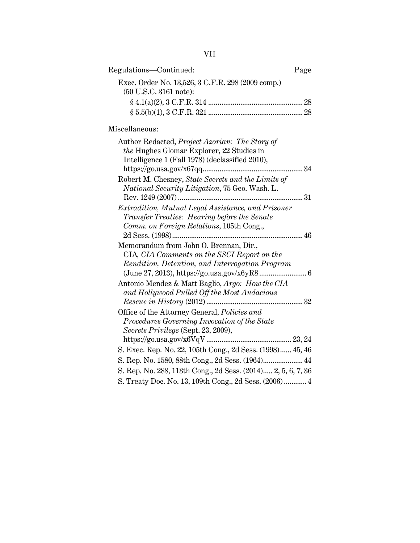| Regulations-Continued:                                                                                                                         | Page |
|------------------------------------------------------------------------------------------------------------------------------------------------|------|
| Exec. Order No. 13,526, 3 C.F.R. 298 (2009 comp.)<br>(50 U.S.C. 3161 note):                                                                    |      |
| Miscellaneous:                                                                                                                                 |      |
| Author Redacted, Project Azorian: The Story of<br>the Hughes Glomar Explorer, 22 Studies in<br>Intelligence 1 (Fall 1978) (declassified 2010), | 34   |
| Robert M. Chesney, State Secrets and the Limits of<br>National Security Litigation, 75 Geo. Wash. L.                                           |      |
| Extradition, Mutual Legal Assistance, and Prisoner<br>Transfer Treaties: Hearing before the Senate<br>Comm. on Foreign Relations, 105th Cong., |      |
| Memorandum from John O. Brennan, Dir.,<br>CIA, CIA Comments on the SSCI Report on the<br>Rendition, Detention, and Interrogation Program       |      |
| Antonio Mendez & Matt Baglio, Argo: How the CIA<br>and Hollywood Pulled Off the Most Audacious                                                 |      |
| Office of the Attorney General, Policies and<br>Procedures Governing Invocation of the State<br>Secrets Privilege (Sept. 23, 2009),            |      |
| S. Exec. Rep. No. 22, 105th Cong., 2d Sess. (1998) 45, 46<br>S. Rep. No. 1580, 88th Cong., 2d Sess. (1964) 44                                  |      |
| S. Rep. No. 288, 113th Cong., 2d Sess. (2014) 2, 5, 6, 7, 36<br>S. Treaty Doc. No. 13, 109th Cong., 2d Sess. (2006)  4                         |      |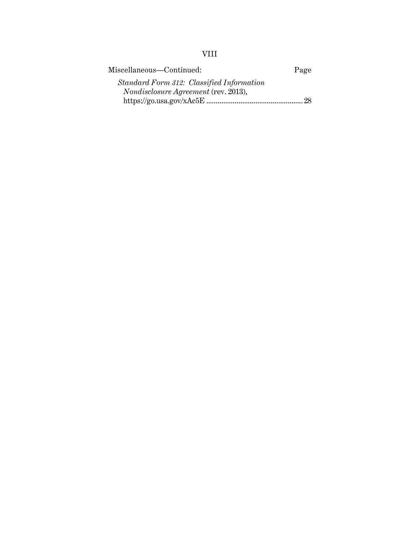# VIII

| Miscellaneous—Continued:                    | Page |
|---------------------------------------------|------|
| Standard Form 312: Classified Information   |      |
| <i>Nondisclosure Agreement</i> (rev. 2013), |      |
|                                             |      |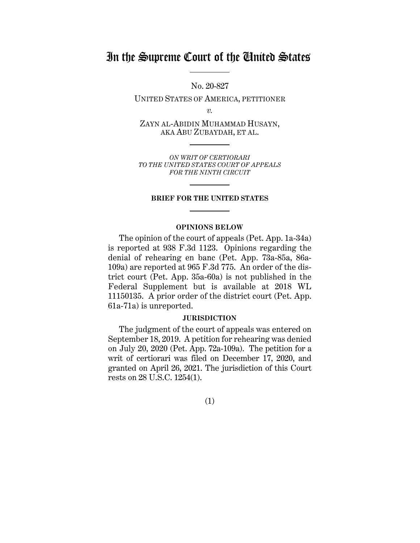# In the Supreme Court of the United States

No. 20-827

UNITED STATES OF AMERICA, PETITIONER

*v.*

ZAYN AL-ABIDIN MUHAMMAD HUSAYN, AKA ABU ZUBAYDAH, ET AL.

*ON WRIT OF CERTIORARI TO THE UNITED STATES COURT OF APPEALS FOR THE NINTH CIRCUIT*

#### **BRIEF FOR THE UNITED STATES**

#### **OPINIONS BELOW**

The opinion of the court of appeals (Pet. App. 1a-34a) is reported at 938 F.3d 1123. Opinions regarding the denial of rehearing en banc (Pet. App. 73a-85a, 86a-109a) are reported at 965 F.3d 775. An order of the district court (Pet. App. 35a-60a) is not published in the Federal Supplement but is available at 2018 WL 11150135. A prior order of the district court (Pet. App. 61a-71a) is unreported.

#### **JURISDICTION**

The judgment of the court of appeals was entered on September 18, 2019. A petition for rehearing was denied on July 20, 2020 (Pet. App. 72a-109a). The petition for a writ of certiorari was filed on December 17, 2020, and granted on April 26, 2021. The jurisdiction of this Court rests on 28 U.S.C. 1254(1).

(1)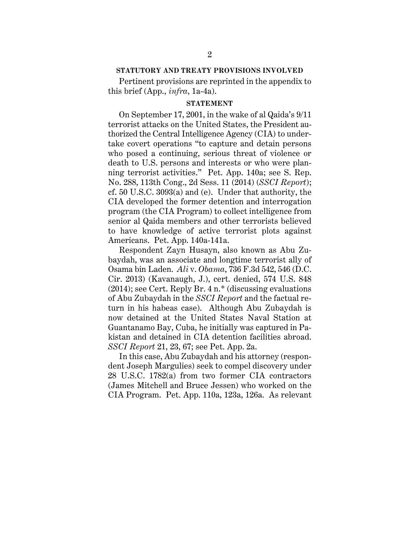#### **STATUTORY AND TREATY PROVISIONS INVOLVED**

Pertinent provisions are reprinted in the appendix to this brief (App., *infra*, 1a-4a).

#### **STATEMENT**

On September 17, 2001, in the wake of al Qaida's 9/11 terrorist attacks on the United States, the President authorized the Central Intelligence Agency (CIA) to undertake covert operations "to capture and detain persons who posed a continuing, serious threat of violence or death to U.S. persons and interests or who were planning terrorist activities." Pet. App. 140a; see S. Rep. No. 288, 113th Cong., 2d Sess. 11 (2014) (*SSCI Report*); cf. 50 U.S.C. 3093(a) and (e). Under that authority, the CIA developed the former detention and interrogation program (the CIA Program) to collect intelligence from senior al Qaida members and other terrorists believed to have knowledge of active terrorist plots against Americans. Pet. App. 140a-141a.

Respondent Zayn Husayn, also known as Abu Zubaydah, was an associate and longtime terrorist ally of Osama bin Laden. *Ali* v. *Obama*, 736 F.3d 542, 546 (D.C. Cir. 2013) (Kavanaugh, J.), cert. denied, 574 U.S. 848 (2014); see Cert. Reply Br. 4 n.\* (discussing evaluations of Abu Zubaydah in the *SSCI Report* and the factual return in his habeas case). Although Abu Zubaydah is now detained at the United States Naval Station at Guantanamo Bay, Cuba, he initially was captured in Pakistan and detained in CIA detention facilities abroad. *SSCI Report* 21, 23, 67; see Pet. App. 2a.

In this case, Abu Zubaydah and his attorney (respondent Joseph Margulies) seek to compel discovery under 28 U.S.C. 1782(a) from two former CIA contractors (James Mitchell and Bruce Jessen) who worked on the CIA Program. Pet. App. 110a, 123a, 126a. As relevant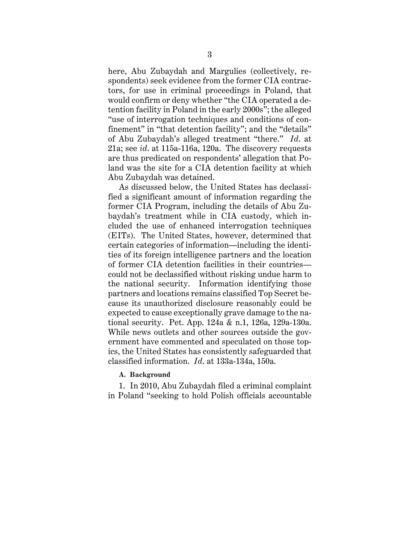here, Abu Zubaydah and Margulies (collectively, respondents) seek evidence from the former CIA contractors, for use in criminal proceedings in Poland, that would confirm or deny whether "the CIA operated a detention facility in Poland in the early 2000s"; the alleged "use of interrogation techniques and conditions of confinement" in "that detention facility"; and the "details" of Abu Zubaydah's alleged treatment "there." *Id*. at 21a; see *id*. at 115a-116a, 120a. The discovery requests are thus predicated on respondents' allegation that Poland was the site for a CIA detention facility at which Abu Zubaydah was detained.

As discussed below, the United States has declassified a significant amount of information regarding the former CIA Program, including the details of Abu Zubaydah's treatment while in CIA custody, which included the use of enhanced interrogation techniques (EITs). The United States, however, determined that certain categories of information—including the identities of its foreign intelligence partners and the location of former CIA detention facilities in their countries could not be declassified without risking undue harm to the national security. Information identifying those partners and locations remains classified Top Secret because its unauthorized disclosure reasonably could be expected to cause exceptionally grave damage to the national security. Pet. App. 124a & n.1, 126a, 129a-130a. While news outlets and other sources outside the government have commented and speculated on those topics, the United States has consistently safeguarded that classified information. *Id*. at 133a-134a, 150a.

#### **A. Background**

1. In 2010, Abu Zubaydah filed a criminal complaint in Poland "seeking to hold Polish officials accountable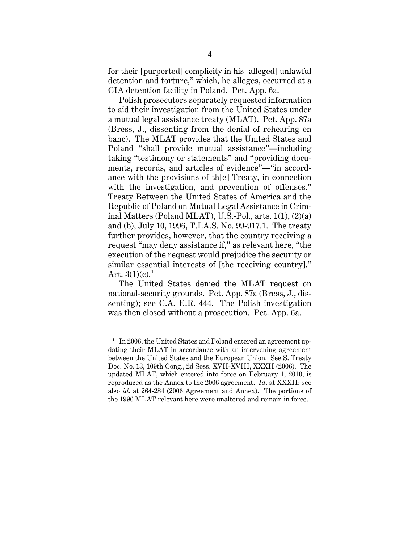for their [purported] complicity in his [alleged] unlawful detention and torture," which, he alleges, occurred at a CIA detention facility in Poland. Pet. App. 6a.

Polish prosecutors separately requested information to aid their investigation from the United States under a mutual legal assistance treaty (MLAT). Pet. App. 87a (Bress, J., dissenting from the denial of rehearing en banc). The MLAT provides that the United States and Poland "shall provide mutual assistance"—including taking "testimony or statements" and "providing documents, records, and articles of evidence"—"in accordance with the provisions of th[e] Treaty, in connection with the investigation, and prevention of offenses." Treaty Between the United States of America and the Republic of Poland on Mutual Legal Assistance in Criminal Matters (Poland MLAT), U.S.-Pol., arts. 1(1), (2)(a) and (b), July 10, 1996, T.I.A.S. No. 99-917.1. The treaty further provides, however, that the country receiving a request "may deny assistance if," as relevant here, "the execution of the request would prejudice the security or similar essential interests of [the receiving country]." Art.  $3(1)(c).<sup>1</sup>$ 

The United States denied the MLAT request on national-security grounds. Pet. App. 87a (Bress, J., dissenting); see C.A. E.R. 444. The Polish investigation was then closed without a prosecution. Pet. App. 6a.

 $1$  In 2006, the United States and Poland entered an agreement updating their MLAT in accordance with an intervening agreement between the United States and the European Union. See S. Treaty Doc. No. 13, 109th Cong., 2d Sess. XVII-XVIII, XXXII (2006). The updated MLAT, which entered into force on February 1, 2010, is reproduced as the Annex to the 2006 agreement. *Id*. at XXXII; see also *id*. at 264-284 (2006 Agreement and Annex). The portions of the 1996 MLAT relevant here were unaltered and remain in force.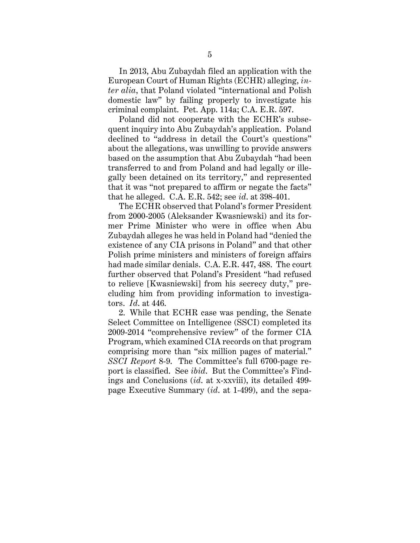In 2013, Abu Zubaydah filed an application with the European Court of Human Rights (ECHR) alleging, *inter alia*, that Poland violated "international and Polish domestic law" by failing properly to investigate his criminal complaint. Pet. App. 114a; C.A. E.R. 597.

Poland did not cooperate with the ECHR's subsequent inquiry into Abu Zubaydah's application. Poland declined to "address in detail the Court's questions" about the allegations, was unwilling to provide answers based on the assumption that Abu Zubaydah "had been transferred to and from Poland and had legally or illegally been detained on its territory," and represented that it was "not prepared to affirm or negate the facts" that he alleged. C.A. E.R. 542; see *id*. at 398-401.

The ECHR observed that Poland's former President from 2000-2005 (Aleksander Kwasniewski) and its former Prime Minister who were in office when Abu Zubaydah alleges he was held in Poland had "denied the existence of any CIA prisons in Poland" and that other Polish prime ministers and ministers of foreign affairs had made similar denials. C.A. E.R. 447, 488. The court further observed that Poland's President "had refused to relieve [Kwasniewski] from his secrecy duty," precluding him from providing information to investigators. *Id*. at 446.

2. While that ECHR case was pending, the Senate Select Committee on Intelligence (SSCI) completed its 2009-2014 "comprehensive review" of the former CIA Program, which examined CIA records on that program comprising more than "six million pages of material." *SSCI Report* 8-9. The Committee's full 6700-page report is classified. See *ibid*. But the Committee's Findings and Conclusions (*id*. at x-xxviii), its detailed 499 page Executive Summary (*id*. at 1-499), and the sepa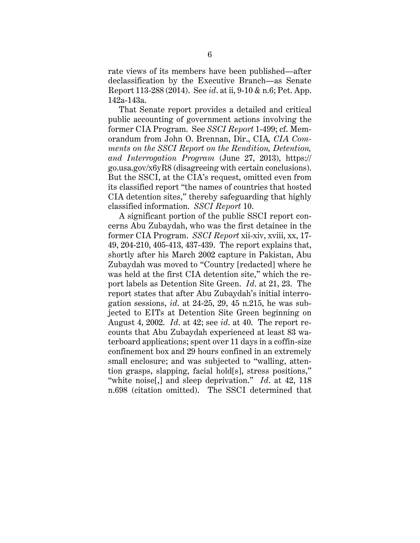rate views of its members have been published—after declassification by the Executive Branch—as Senate Report 113-288 (2014). See *id*. at ii, 9-10 & n.6; Pet. App. 142a-143a.

That Senate report provides a detailed and critical public accounting of government actions involving the former CIA Program. See *SSCI Report* 1-499; cf. Memorandum from John O. Brennan, Dir., CIA*, CIA Comments on the SSCI Report on the Rendition, Detention, and Interrogation Program* (June 27, 2013), https:// go.usa.gov/x6yR8 (disagreeing with certain conclusions). But the SSCI, at the CIA's request, omitted even from its classified report "the names of countries that hosted CIA detention sites," thereby safeguarding that highly classified information. *SSCI Report* 10.

A significant portion of the public SSCI report concerns Abu Zubaydah, who was the first detainee in the former CIA Program. *SSCI Report* xii-xiv, xviii, xx, 17- 49, 204-210, 405-413, 437-439. The report explains that, shortly after his March 2002 capture in Pakistan, Abu Zubaydah was moved to "Country [redacted] where he was held at the first CIA detention site," which the report labels as Detention Site Green. *Id*. at 21, 23. The report states that after Abu Zubaydah's initial interrogation sessions, *id*. at 24-25, 29, 45 n.215, he was subjected to EITs at Detention Site Green beginning on August 4, 2002. *Id*. at 42; see *id*. at 40. The report recounts that Abu Zubaydah experienced at least 83 waterboard applications; spent over 11 days in a coffin-size confinement box and 29 hours confined in an extremely small enclosure; and was subjected to "walling, attention grasps, slapping, facial hold[s], stress positions," "white noise[,] and sleep deprivation." *Id.* at 42, 118 n.698 (citation omitted). The SSCI determined that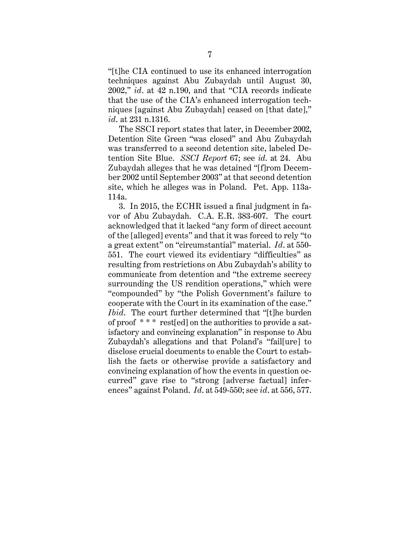"[t]he CIA continued to use its enhanced interrogation techniques against Abu Zubaydah until August 30, 2002," *id*. at 42 n.190, and that "CIA records indicate that the use of the CIA's enhanced interrogation techniques [against Abu Zubaydah] ceased on [that date]," *id*. at 231 n.1316.

The SSCI report states that later, in December 2002, Detention Site Green "was closed" and Abu Zubaydah was transferred to a second detention site, labeled Detention Site Blue. *SSCI Report* 67; see *id*. at 24. Abu Zubaydah alleges that he was detained "[f]rom December 2002 until September 2003" at that second detention site, which he alleges was in Poland. Pet. App. 113a-114a.

3. In 2015, the ECHR issued a final judgment in favor of Abu Zubaydah. C.A. E.R. 383-607. The court acknowledged that it lacked "any form of direct account of the [alleged] events" and that it was forced to rely "to a great extent" on "circumstantial" material. *Id*. at 550- 551. The court viewed its evidentiary "difficulties" as resulting from restrictions on Abu Zubaydah's ability to communicate from detention and "the extreme secrecy surrounding the US rendition operations," which were "compounded" by "the Polish Government's failure to cooperate with the Court in its examination of the case." *Ibid*. The court further determined that "[t]he burden of proof \* \* \* rest[ed] on the authorities to provide a satisfactory and convincing explanation" in response to Abu Zubaydah's allegations and that Poland's "fail[ure] to disclose crucial documents to enable the Court to establish the facts or otherwise provide a satisfactory and convincing explanation of how the events in question occurred" gave rise to "strong [adverse factual] inferences" against Poland. *Id*. at 549-550; see *id*. at 556, 577.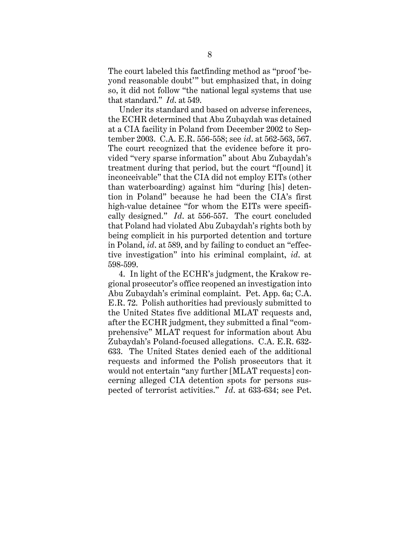The court labeled this factfinding method as "proof 'beyond reasonable doubt'" but emphasized that, in doing so, it did not follow "the national legal systems that use that standard." *Id*. at 549.

Under its standard and based on adverse inferences, the ECHR determined that Abu Zubaydah was detained at a CIA facility in Poland from December 2002 to September 2003. C.A. E.R. 556-558; see *id*. at 562-563, 567. The court recognized that the evidence before it provided "very sparse information" about Abu Zubaydah's treatment during that period, but the court "f[ound] it inconceivable" that the CIA did not employ EITs (other than waterboarding) against him "during [his] detention in Poland" because he had been the CIA's first high-value detainee "for whom the EITs were specifically designed." *Id*. at 556-557. The court concluded that Poland had violated Abu Zubaydah's rights both by being complicit in his purported detention and torture in Poland, *id*. at 589, and by failing to conduct an "effective investigation" into his criminal complaint, *id*. at 598-599.

4. In light of the ECHR's judgment, the Krakow regional prosecutor's office reopened an investigation into Abu Zubaydah's criminal complaint. Pet. App. 6a; C.A. E.R. 72. Polish authorities had previously submitted to the United States five additional MLAT requests and, after the ECHR judgment, they submitted a final "comprehensive" MLAT request for information about Abu Zubaydah's Poland-focused allegations. C.A. E.R. 632- 633. The United States denied each of the additional requests and informed the Polish prosecutors that it would not entertain "any further [MLAT requests] concerning alleged CIA detention spots for persons suspected of terrorist activities." *Id*. at 633-634; see Pet.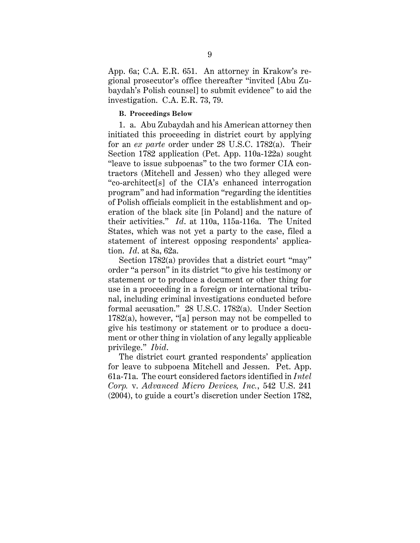App. 6a; C.A. E.R. 651. An attorney in Krakow's regional prosecutor's office thereafter "invited [Abu Zubaydah's Polish counsel] to submit evidence" to aid the investigation. C.A. E.R. 73, 79.

#### **B. Proceedings Below**

1. a. Abu Zubaydah and his American attorney then initiated this proceeding in district court by applying for an *ex parte* order under 28 U.S.C. 1782(a). Their Section 1782 application (Pet. App. 110a-122a) sought "leave to issue subpoenas" to the two former CIA contractors (Mitchell and Jessen) who they alleged were "co-architect[s] of the CIA's enhanced interrogation program" and had information "regarding the identities of Polish officials complicit in the establishment and operation of the black site [in Poland] and the nature of their activities." *Id*. at 110a, 115a-116a. The United States, which was not yet a party to the case, filed a statement of interest opposing respondents' application. *Id*. at 8a, 62a.

Section 1782(a) provides that a district court "may" order "a person" in its district "to give his testimony or statement or to produce a document or other thing for use in a proceeding in a foreign or international tribunal, including criminal investigations conducted before formal accusation." 28 U.S.C. 1782(a). Under Section 1782(a), however, "[a] person may not be compelled to give his testimony or statement or to produce a document or other thing in violation of any legally applicable privilege." *Ibid*.

The district court granted respondents' application for leave to subpoena Mitchell and Jessen. Pet. App. 61a-71a. The court considered factors identified in *Intel Corp.* v. *Advanced Micro Devices, Inc.*, 542 U.S. 241 (2004), to guide a court's discretion under Section 1782,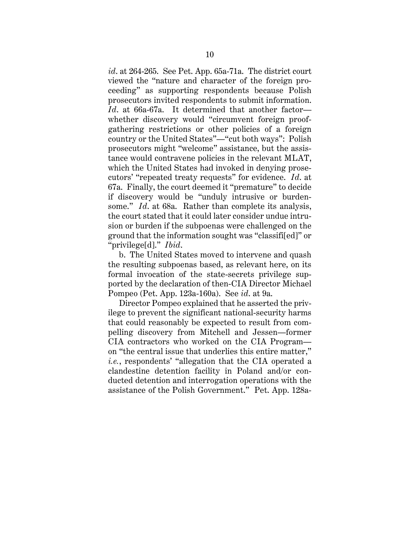*id*. at 264-265. See Pet. App. 65a-71a. The district court viewed the "nature and character of the foreign proceeding" as supporting respondents because Polish prosecutors invited respondents to submit information. *Id*. at 66a-67a. It determined that another factor whether discovery would "circumvent foreign proofgathering restrictions or other policies of a foreign country or the United States"—"cut both ways": Polish prosecutors might "welcome" assistance, but the assistance would contravene policies in the relevant MLAT, which the United States had invoked in denying prosecutors' "repeated treaty requests" for evidence. *Id*. at 67a. Finally, the court deemed it "premature" to decide if discovery would be "unduly intrusive or burdensome." *Id.* at 68a. Rather than complete its analysis, the court stated that it could later consider undue intrusion or burden if the subpoenas were challenged on the ground that the information sought was "classifi[ed]" or "privilege[d]." *Ibid*.

b. The United States moved to intervene and quash the resulting subpoenas based, as relevant here, on its formal invocation of the state-secrets privilege supported by the declaration of then-CIA Director Michael Pompeo (Pet. App. 123a-160a). See *id*. at 9a.

Director Pompeo explained that he asserted the privilege to prevent the significant national-security harms that could reasonably be expected to result from compelling discovery from Mitchell and Jessen—former CIA contractors who worked on the CIA Program on "the central issue that underlies this entire matter," *i.e.*, respondents' "allegation that the CIA operated a clandestine detention facility in Poland and/or conducted detention and interrogation operations with the assistance of the Polish Government." Pet. App. 128a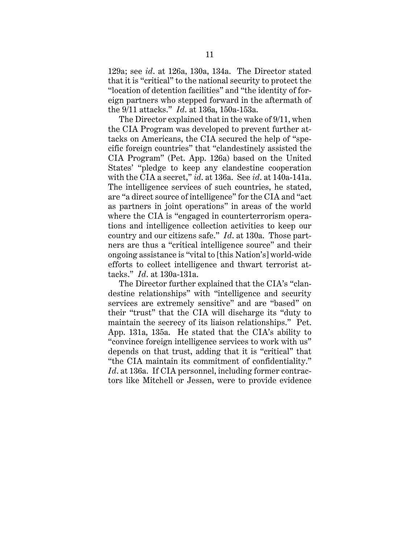129a; see *id*. at 126a, 130a, 134a. The Director stated that it is "critical" to the national security to protect the "location of detention facilities" and "the identity of foreign partners who stepped forward in the aftermath of the 9/11 attacks." *Id*. at 136a, 150a-153a.

The Director explained that in the wake of 9/11, when the CIA Program was developed to prevent further attacks on Americans, the CIA secured the help of "specific foreign countries" that "clandestinely assisted the CIA Program" (Pet. App. 126a) based on the United States' "pledge to keep any clandestine cooperation with the CIA a secret," *id*. at 136a. See *id*. at 140a-141a. The intelligence services of such countries, he stated, are "a direct source of intelligence" for the CIA and "act as partners in joint operations" in areas of the world where the CIA is "engaged in counterterrorism operations and intelligence collection activities to keep our country and our citizens safe." *Id*. at 130a. Those partners are thus a "critical intelligence source" and their ongoing assistance is "vital to [this Nation's] world-wide efforts to collect intelligence and thwart terrorist attacks." *Id*. at 130a-131a.

The Director further explained that the CIA's "clandestine relationships" with "intelligence and security services are extremely sensitive" and are "based" on their "trust" that the CIA will discharge its "duty to maintain the secrecy of its liaison relationships." Pet. App. 131a, 135a. He stated that the CIA's ability to "convince foreign intelligence services to work with us" depends on that trust, adding that it is "critical" that "the CIA maintain its commitment of confidentiality." *Id*. at 136a. If CIA personnel, including former contractors like Mitchell or Jessen, were to provide evidence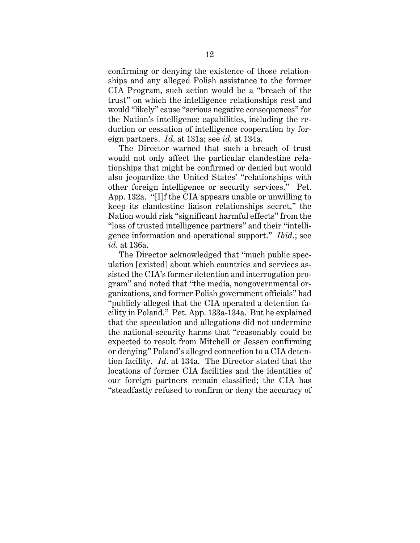confirming or denying the existence of those relationships and any alleged Polish assistance to the former CIA Program, such action would be a "breach of the trust" on which the intelligence relationships rest and would "likely" cause "serious negative consequences" for the Nation's intelligence capabilities, including the reduction or cessation of intelligence cooperation by foreign partners. *Id*. at 131a; see *id*. at 134a.

The Director warned that such a breach of trust would not only affect the particular clandestine relationships that might be confirmed or denied but would also jeopardize the United States' "relationships with other foreign intelligence or security services." Pet. App. 132a. "[I]f the CIA appears unable or unwilling to keep its clandestine liaison relationships secret," the Nation would risk "significant harmful effects" from the "loss of trusted intelligence partners" and their "intelligence information and operational support." *Ibid*.; see *id*. at 136a.

The Director acknowledged that "much public speculation [existed] about which countries and services assisted the CIA's former detention and interrogation program" and noted that "the media, nongovernmental organizations, and former Polish government officials" had "publicly alleged that the CIA operated a detention facility in Poland." Pet. App. 133a-134a. But he explained that the speculation and allegations did not undermine the national-security harms that "reasonably could be expected to result from Mitchell or Jessen confirming or denying" Poland's alleged connection to a CIA detention facility. *Id*. at 134a. The Director stated that the locations of former CIA facilities and the identities of our foreign partners remain classified; the CIA has "steadfastly refused to confirm or deny the accuracy of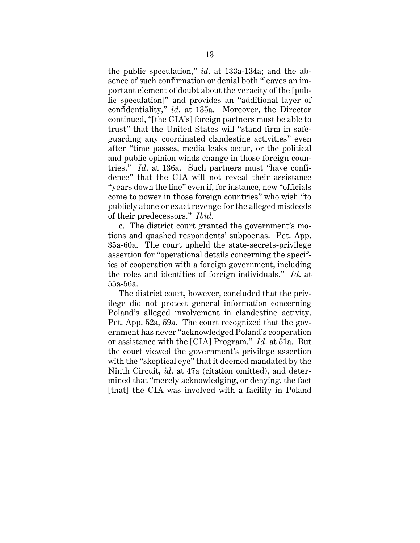the public speculation," *id*. at 133a-134a; and the absence of such confirmation or denial both "leaves an important element of doubt about the veracity of the [public speculation]" and provides an "additional layer of confidentiality," *id*. at 135a. Moreover, the Director continued, "[the CIA's] foreign partners must be able to trust" that the United States will "stand firm in safeguarding any coordinated clandestine activities" even after "time passes, media leaks occur, or the political and public opinion winds change in those foreign countries." *Id*. at 136a. Such partners must "have confidence" that the CIA will not reveal their assistance "years down the line" even if, for instance, new "officials come to power in those foreign countries" who wish "to publicly atone or exact revenge for the alleged misdeeds of their predecessors." *Ibid*.

c. The district court granted the government's motions and quashed respondents' subpoenas. Pet. App. 35a-60a. The court upheld the state-secrets-privilege assertion for "operational details concerning the specifics of cooperation with a foreign government, including the roles and identities of foreign individuals." *Id*. at 55a-56a.

The district court, however, concluded that the privilege did not protect general information concerning Poland's alleged involvement in clandestine activity. Pet. App. 52a, 59a. The court recognized that the government has never "acknowledged Poland's cooperation or assistance with the [CIA] Program." *Id*. at 51a. But the court viewed the government's privilege assertion with the "skeptical eye" that it deemed mandated by the Ninth Circuit, *id*. at 47a (citation omitted), and determined that "merely acknowledging, or denying, the fact [that] the CIA was involved with a facility in Poland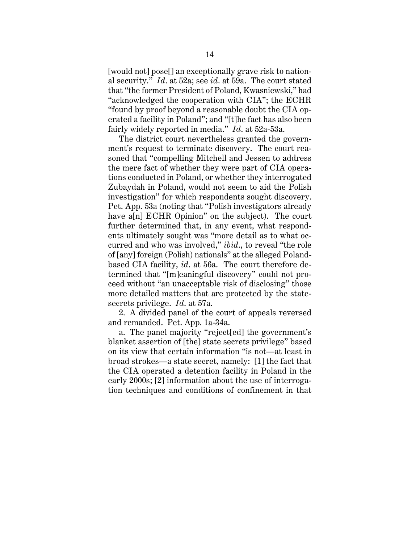[would not] pose[] an exceptionally grave risk to national security." *Id*. at 52a; see *id*. at 59a. The court stated that "the former President of Poland, Kwasniewski," had "acknowledged the cooperation with CIA"; the ECHR "found by proof beyond a reasonable doubt the CIA operated a facility in Poland"; and "[t]he fact has also been fairly widely reported in media." *Id*. at 52a-53a.

The district court nevertheless granted the government's request to terminate discovery. The court reasoned that "compelling Mitchell and Jessen to address the mere fact of whether they were part of CIA operations conducted in Poland, or whether they interrogated Zubaydah in Poland, would not seem to aid the Polish investigation" for which respondents sought discovery. Pet. App. 53a (noting that "Polish investigators already have a<sup>[n]</sup> ECHR Opinion" on the subject). The court further determined that, in any event, what respondents ultimately sought was "more detail as to what occurred and who was involved," *ibid*., to reveal "the role of [any] foreign (Polish) nationals" at the alleged Polandbased CIA facility, *id*. at 56a. The court therefore determined that "[m]eaningful discovery" could not proceed without "an unacceptable risk of disclosing" those more detailed matters that are protected by the statesecrets privilege. *Id*. at 57a.

2. A divided panel of the court of appeals reversed and remanded. Pet. App. 1a-34a.

a. The panel majority "reject[ed] the government's blanket assertion of [the] state secrets privilege" based on its view that certain information "is not—at least in broad strokes—a state secret, namely: [1] the fact that the CIA operated a detention facility in Poland in the early 2000s; [2] information about the use of interrogation techniques and conditions of confinement in that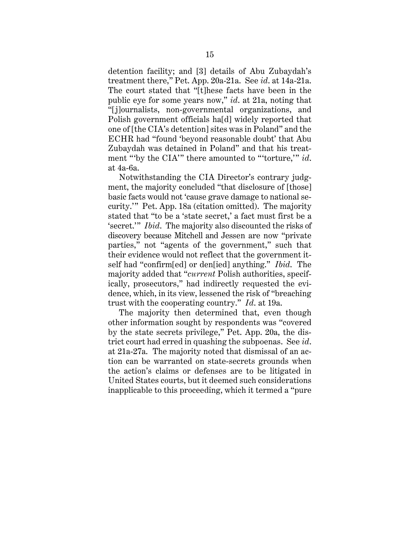detention facility; and [3] details of Abu Zubaydah's treatment there," Pet. App. 20a-21a. See *id*. at 14a-21a. The court stated that "[t]hese facts have been in the public eye for some years now," *id*. at 21a, noting that "[j]ournalists, non-governmental organizations, and Polish government officials ha[d] widely reported that one of [the CIA's detention] sites was in Poland" and the ECHR had "found 'beyond reasonable doubt' that Abu Zubaydah was detained in Poland" and that his treatment "'by the CIA'" there amounted to "'torture,'" *id*. at 4a-6a.

Notwithstanding the CIA Director's contrary judgment, the majority concluded "that disclosure of [those] basic facts would not 'cause grave damage to national security.'" Pet. App. 18a (citation omitted). The majority stated that "to be a 'state secret,' a fact must first be a 'secret.'" *Ibid*. The majority also discounted the risks of discovery because Mitchell and Jessen are now "private parties," not "agents of the government," such that their evidence would not reflect that the government itself had "confirm[ed] or den[ied] anything." *Ibid*. The majority added that "*current* Polish authorities, specifically, prosecutors," had indirectly requested the evidence, which, in its view, lessened the risk of "breaching trust with the cooperating country." *Id*. at 19a.

The majority then determined that, even though other information sought by respondents was "covered by the state secrets privilege," Pet. App. 20a, the district court had erred in quashing the subpoenas. See *id*. at 21a-27a. The majority noted that dismissal of an action can be warranted on state-secrets grounds when the action's claims or defenses are to be litigated in United States courts, but it deemed such considerations inapplicable to this proceeding, which it termed a "pure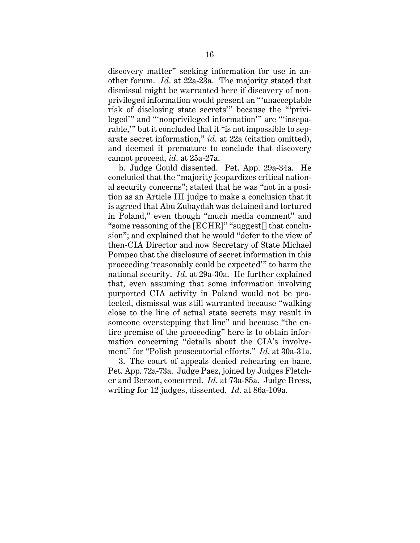discovery matter" seeking information for use in another forum. *Id*. at 22a-23a. The majority stated that dismissal might be warranted here if discovery of nonprivileged information would present an "'unacceptable risk of disclosing state secrets'" because the "'privileged'" and "'nonprivileged information'" are "'inseparable,'" but it concluded that it "is not impossible to separate secret information," *id*. at 22a (citation omitted), and deemed it premature to conclude that discovery cannot proceed, *id*. at 25a-27a.

b. Judge Gould dissented. Pet. App. 29a-34a. He concluded that the "majority jeopardizes critical national security concerns"; stated that he was "not in a position as an Article III judge to make a conclusion that it is agreed that Abu Zubaydah was detained and tortured in Poland," even though "much media comment" and "some reasoning of the [ECHR]" "suggest[] that conclusion"; and explained that he would "defer to the view of then-CIA Director and now Secretary of State Michael Pompeo that the disclosure of secret information in this proceeding 'reasonably could be expected'" to harm the national security. *Id*. at 29a-30a. He further explained that, even assuming that some information involving purported CIA activity in Poland would not be protected, dismissal was still warranted because "walking close to the line of actual state secrets may result in someone overstepping that line" and because "the entire premise of the proceeding" here is to obtain information concerning "details about the CIA's involvement" for "Polish prosecutorial efforts." *Id*. at 30a-31a.

3. The court of appeals denied rehearing en banc. Pet. App. 72a-73a. Judge Paez, joined by Judges Fletcher and Berzon, concurred. *Id*. at 73a-85a. Judge Bress, writing for 12 judges, dissented. *Id*. at 86a-109a.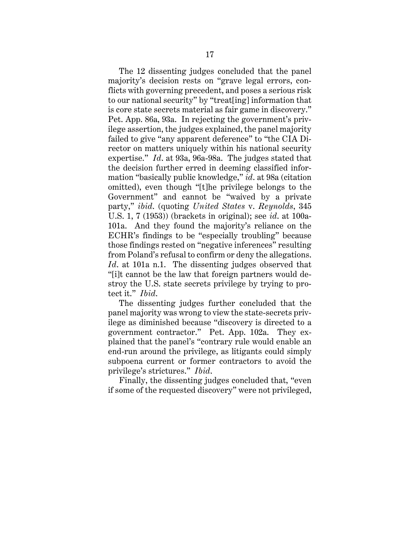The 12 dissenting judges concluded that the panel majority's decision rests on "grave legal errors, conflicts with governing precedent, and poses a serious risk to our national security" by "treat[ing] information that is core state secrets material as fair game in discovery." Pet. App. 86a, 93a. In rejecting the government's privilege assertion, the judges explained, the panel majority failed to give "any apparent deference" to "the CIA Director on matters uniquely within his national security expertise." *Id*. at 93a, 96a-98a. The judges stated that the decision further erred in deeming classified information "basically public knowledge," *id*. at 98a (citation omitted), even though "[t]he privilege belongs to the Government" and cannot be "waived by a private party," *ibid*. (quoting *United States* v. *Reynolds*, 345 U.S. 1, 7 (1953)) (brackets in original); see *id*. at 100a-101a. And they found the majority's reliance on the ECHR's findings to be "especially troubling" because those findings rested on "negative inferences" resulting from Poland's refusal to confirm or deny the allegations. *Id*. at 101a n.1. The dissenting judges observed that "[i]t cannot be the law that foreign partners would destroy the U.S. state secrets privilege by trying to protect it." *Ibid*.

The dissenting judges further concluded that the panel majority was wrong to view the state-secrets privilege as diminished because "discovery is directed to a government contractor." Pet. App. 102a. They explained that the panel's "contrary rule would enable an end-run around the privilege, as litigants could simply subpoena current or former contractors to avoid the privilege's strictures." *Ibid*.

Finally, the dissenting judges concluded that, "even if some of the requested discovery" were not privileged,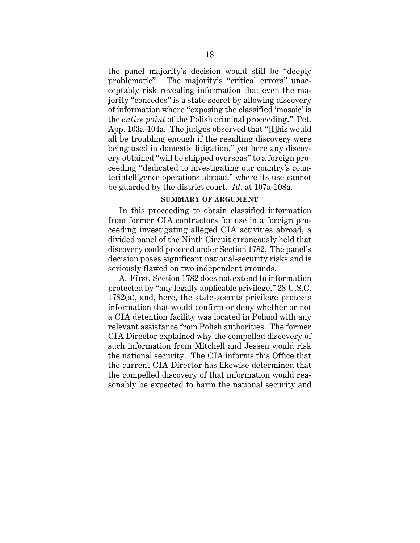the panel majority's decision would still be "deeply problematic": The majority's "critical errors" unacceptably risk revealing information that even the majority "concedes" is a state secret by allowing discovery of information where "exposing the classified 'mosaic' is the *entire point* of the Polish criminal proceeding." Pet. App. 103a-104a. The judges observed that "[t]his would all be troubling enough if the resulting discovery were being used in domestic litigation," yet here any discovery obtained "will be shipped overseas" to a foreign proceeding "dedicated to investigating our country's counterintelligence operations abroad," where its use cannot be guarded by the district court. *Id*. at 107a-108a.

### **SUMMARY OF ARGUMENT**

In this proceeding to obtain classified information from former CIA contractors for use in a foreign proceeding investigating alleged CIA activities abroad, a divided panel of the Ninth Circuit erroneously held that discovery could proceed under Section 1782. The panel's decision poses significant national-security risks and is seriously flawed on two independent grounds.

A. First, Section 1782 does not extend to information protected by "any legally applicable privilege," 28 U.S.C. 1782(a), and, here, the state-secrets privilege protects information that would confirm or deny whether or not a CIA detention facility was located in Poland with any relevant assistance from Polish authorities. The former CIA Director explained why the compelled discovery of such information from Mitchell and Jessen would risk the national security. The CIA informs this Office that the current CIA Director has likewise determined that the compelled discovery of that information would reasonably be expected to harm the national security and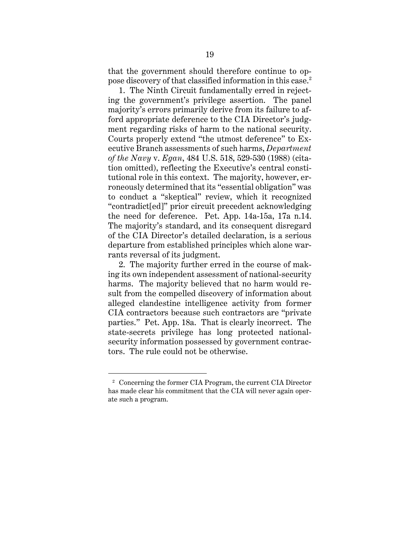that the government should therefore continue to oppose discovery of that classified information in this case. 2

1. The Ninth Circuit fundamentally erred in rejecting the government's privilege assertion. The panel majority's errors primarily derive from its failure to afford appropriate deference to the CIA Director's judgment regarding risks of harm to the national security. Courts properly extend "the utmost deference" to Executive Branch assessments of such harms, *Department of the Navy* v. *Egan*, 484 U.S. 518, 529-530 (1988) (citation omitted), reflecting the Executive's central constitutional role in this context. The majority, however, erroneously determined that its "essential obligation" was to conduct a "skeptical" review, which it recognized "contradict[ed]" prior circuit precedent acknowledging the need for deference. Pet. App. 14a-15a, 17a n.14. The majority's standard, and its consequent disregard of the CIA Director's detailed declaration, is a serious departure from established principles which alone warrants reversal of its judgment.

2. The majority further erred in the course of making its own independent assessment of national-security harms. The majority believed that no harm would result from the compelled discovery of information about alleged clandestine intelligence activity from former CIA contractors because such contractors are "private parties." Pet. App. 18a. That is clearly incorrect. The state-secrets privilege has long protected nationalsecurity information possessed by government contractors. The rule could not be otherwise.

<sup>2</sup> Concerning the former CIA Program, the current CIA Director has made clear his commitment that the CIA will never again operate such a program.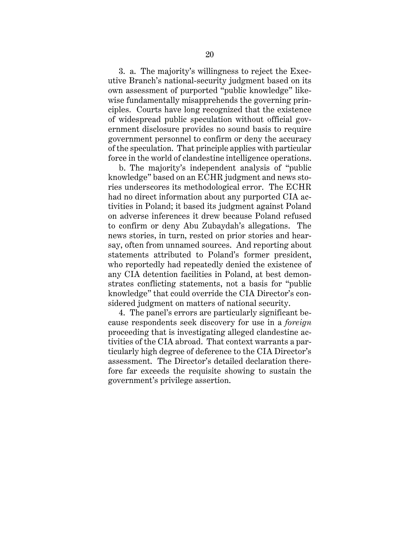3. a. The majority's willingness to reject the Executive Branch's national-security judgment based on its own assessment of purported "public knowledge" likewise fundamentally misapprehends the governing principles. Courts have long recognized that the existence of widespread public speculation without official government disclosure provides no sound basis to require government personnel to confirm or deny the accuracy of the speculation. That principle applies with particular force in the world of clandestine intelligence operations.

b. The majority's independent analysis of "public knowledge" based on an ECHR judgment and news stories underscores its methodological error. The ECHR had no direct information about any purported CIA activities in Poland; it based its judgment against Poland on adverse inferences it drew because Poland refused to confirm or deny Abu Zubaydah's allegations. The news stories, in turn, rested on prior stories and hearsay, often from unnamed sources. And reporting about statements attributed to Poland's former president, who reportedly had repeatedly denied the existence of any CIA detention facilities in Poland, at best demonstrates conflicting statements, not a basis for "public knowledge" that could override the CIA Director's considered judgment on matters of national security.

4. The panel's errors are particularly significant because respondents seek discovery for use in a *foreign* proceeding that is investigating alleged clandestine activities of the CIA abroad. That context warrants a particularly high degree of deference to the CIA Director's assessment. The Director's detailed declaration therefore far exceeds the requisite showing to sustain the government's privilege assertion.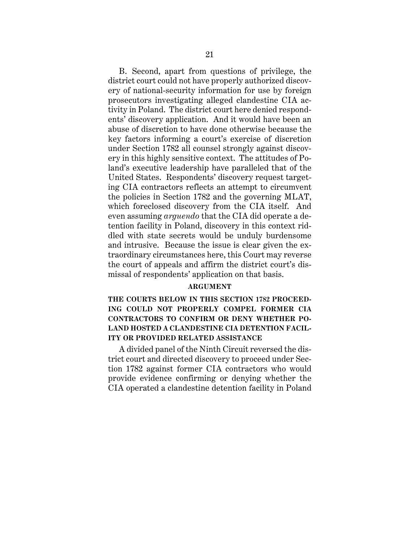B. Second, apart from questions of privilege, the district court could not have properly authorized discovery of national-security information for use by foreign prosecutors investigating alleged clandestine CIA activity in Poland. The district court here denied respondents' discovery application. And it would have been an abuse of discretion to have done otherwise because the key factors informing a court's exercise of discretion under Section 1782 all counsel strongly against discovery in this highly sensitive context. The attitudes of Poland's executive leadership have paralleled that of the United States. Respondents' discovery request targeting CIA contractors reflects an attempt to circumvent the policies in Section 1782 and the governing MLAT, which foreclosed discovery from the CIA itself. And even assuming *arguendo* that the CIA did operate a detention facility in Poland, discovery in this context riddled with state secrets would be unduly burdensome and intrusive. Because the issue is clear given the extraordinary circumstances here, this Court may reverse the court of appeals and affirm the district court's dismissal of respondents' application on that basis.

### **ARGUMENT**

# **THE COURTS BELOW IN THIS SECTION 1782 PROCEED-ING COULD NOT PROPERLY COMPEL FORMER CIA CONTRACTORS TO CONFIRM OR DENY WHETHER PO-LAND HOSTED A CLANDESTINE CIA DETENTION FACIL-ITY OR PROVIDED RELATED ASSISTANCE**

A divided panel of the Ninth Circuit reversed the district court and directed discovery to proceed under Section 1782 against former CIA contractors who would provide evidence confirming or denying whether the CIA operated a clandestine detention facility in Poland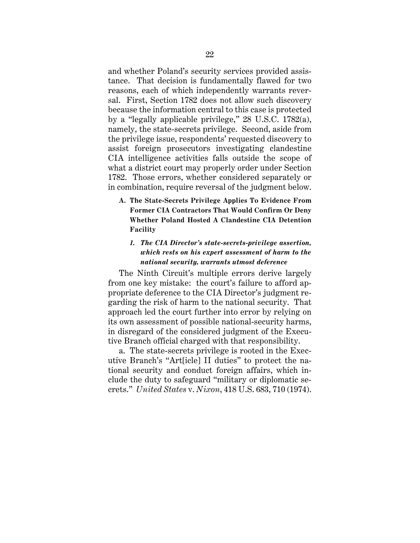and whether Poland's security services provided assistance. That decision is fundamentally flawed for two reasons, each of which independently warrants reversal. First, Section 1782 does not allow such discovery because the information central to this case is protected by a "legally applicable privilege," 28 U.S.C. 1782(a), namely, the state-secrets privilege. Second, aside from the privilege issue, respondents' requested discovery to assist foreign prosecutors investigating clandestine CIA intelligence activities falls outside the scope of what a district court may properly order under Section 1782. Those errors, whether considered separately or in combination, require reversal of the judgment below.

**A. The State-Secrets Privilege Applies To Evidence From Former CIA Contractors That Would Confirm Or Deny Whether Poland Hosted A Clandestine CIA Detention Facility**

## *1. The CIA Director's state-secrets-privilege assertion, which rests on his expert assessment of harm to the national security, warrants utmost deference*

The Ninth Circuit's multiple errors derive largely from one key mistake: the court's failure to afford appropriate deference to the CIA Director's judgment regarding the risk of harm to the national security. That approach led the court further into error by relying on its own assessment of possible national-security harms, in disregard of the considered judgment of the Executive Branch official charged with that responsibility.

a. The state-secrets privilege is rooted in the Executive Branch's "Art[icle] II duties" to protect the national security and conduct foreign affairs, which include the duty to safeguard "military or diplomatic secrets." *United States* v. *Nixon*, 418 U.S. 683, 710 (1974).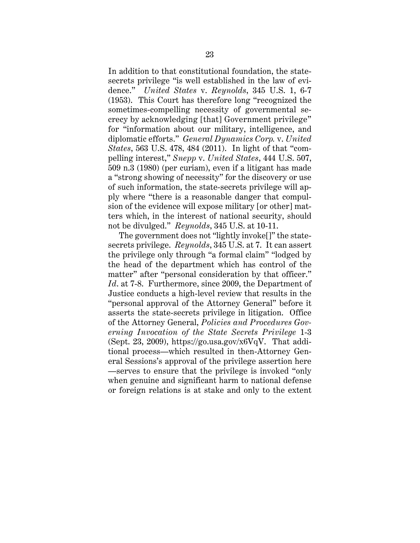In addition to that constitutional foundation, the statesecrets privilege "is well established in the law of evidence." *United States* v. *Reynolds*, 345 U.S. 1, 6-7 (1953). This Court has therefore long "recognized the sometimes-compelling necessity of governmental secrecy by acknowledging [that] Government privilege" for "information about our military, intelligence, and diplomatic efforts." *General Dynamics Corp.* v. *United States*, 563 U.S. 478, 484 (2011). In light of that "compelling interest," *Snepp* v. *United States*, 444 U.S. 507, 509 n.3 (1980) (per curiam), even if a litigant has made a "strong showing of necessity" for the discovery or use of such information, the state-secrets privilege will apply where "there is a reasonable danger that compulsion of the evidence will expose military [or other] matters which, in the interest of national security, should not be divulged." *Reynolds*, 345 U.S. at 10-11.

The government does not "lightly invoke[]" the statesecrets privilege. *Reynolds*, 345 U.S. at 7. It can assert the privilege only through "a formal claim" "lodged by the head of the department which has control of the matter" after "personal consideration by that officer." *Id*. at 7-8. Furthermore, since 2009, the Department of Justice conducts a high-level review that results in the "personal approval of the Attorney General" before it asserts the state-secrets privilege in litigation. Office of the Attorney General, *Policies and Procedures Governing Invocation of the State Secrets Privilege* 1-3 (Sept. 23, 2009), https://go.usa.gov/x6VqV. That additional process—which resulted in then-Attorney General Sessions's approval of the privilege assertion here —serves to ensure that the privilege is invoked "only when genuine and significant harm to national defense or foreign relations is at stake and only to the extent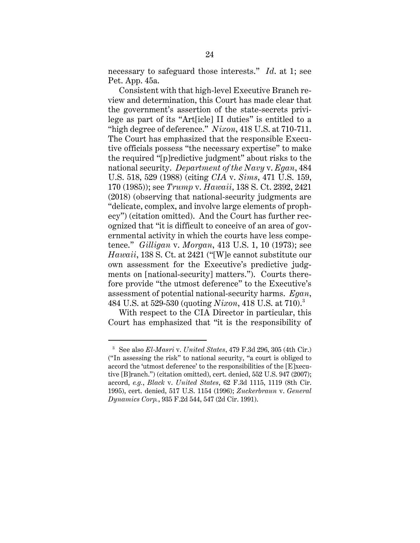necessary to safeguard those interests." *Id*. at 1; see Pet. App. 45a.

Consistent with that high-level Executive Branch review and determination, this Court has made clear that the government's assertion of the state-secrets privilege as part of its "Art[icle] II duties" is entitled to a "high degree of deference." *Nixon*, 418 U.S. at 710-711. The Court has emphasized that the responsible Executive officials possess "the necessary expertise" to make the required "[p]redictive judgment" about risks to the national security. *Department of the Navy* v. *Egan*, 484 U.S. 518, 529 (1988) (citing *CIA* v. *Sims*, 471 U.S. 159, 170 (1985)); see *Trump* v. *Hawaii*, 138 S. Ct. 2392, 2421 (2018) (observing that national-security judgments are "delicate, complex, and involve large elements of prophecy") (citation omitted). And the Court has further recognized that "it is difficult to conceive of an area of governmental activity in which the courts have less competence." *Gilligan* v. *Morgan*, 413 U.S. 1, 10 (1973); see *Hawaii*, 138 S. Ct. at 2421 ("[W]e cannot substitute our own assessment for the Executive's predictive judgments on [national-security] matters."). Courts therefore provide "the utmost deference" to the Executive's assessment of potential national-security harms. *Egan*, 484 U.S. at 529-530 (quoting *Nixon*, 418 U.S. at 710). 3

With respect to the CIA Director in particular, this Court has emphasized that "it is the responsibility of

<sup>3</sup> See also *El-Masri* v. *United States*, 479 F.3d 296, 305 (4th Cir.) ("In assessing the risk" to national security, "a court is obliged to accord the 'utmost deference' to the responsibilities of the [E]xecutive [B]ranch.") (citation omitted), cert. denied, 552 U.S. 947 (2007); accord, *e.g.*, *Black* v. *United States*, 62 F.3d 1115, 1119 (8th Cir. 1995), cert. denied, 517 U.S. 1154 (1996); *Zuckerbraun* v. *General Dynamics Corp.*, 935 F.2d 544, 547 (2d Cir. 1991).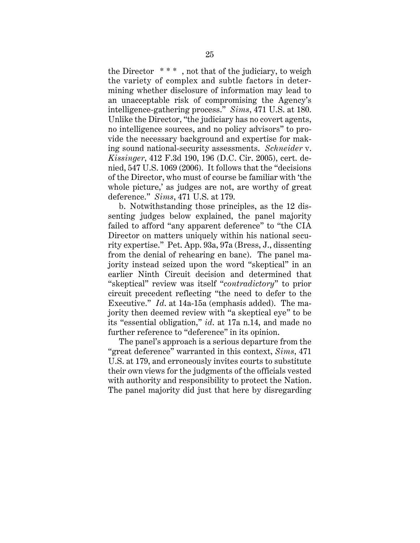the Director  $***$ , not that of the judiciary, to weigh the variety of complex and subtle factors in determining whether disclosure of information may lead to an unacceptable risk of compromising the Agency's intelligence-gathering process." *Sims*, 471 U.S. at 180. Unlike the Director, "the judiciary has no covert agents, no intelligence sources, and no policy advisors" to provide the necessary background and expertise for making sound national-security assessments. *Schneider* v. *Kissinger*, 412 F.3d 190, 196 (D.C. Cir. 2005), cert. denied, 547 U.S. 1069 (2006). It follows that the "decisions of the Director, who must of course be familiar with 'the whole picture,' as judges are not, are worthy of great deference." *Sims*, 471 U.S. at 179.

b. Notwithstanding those principles, as the 12 dissenting judges below explained, the panel majority failed to afford "any apparent deference" to "the CIA Director on matters uniquely within his national security expertise." Pet. App. 93a, 97a (Bress, J., dissenting from the denial of rehearing en banc). The panel majority instead seized upon the word "skeptical" in an earlier Ninth Circuit decision and determined that "skeptical" review was itself "*contradictory*" to prior circuit precedent reflecting "the need to defer to the Executive." *Id*. at 14a-15a (emphasis added). The majority then deemed review with "a skeptical eye" to be its "essential obligation," *id*. at 17a n.14, and made no further reference to "deference" in its opinion.

The panel's approach is a serious departure from the "great deference" warranted in this context, *Sims*, 471 U.S. at 179, and erroneously invites courts to substitute their own views for the judgments of the officials vested with authority and responsibility to protect the Nation. The panel majority did just that here by disregarding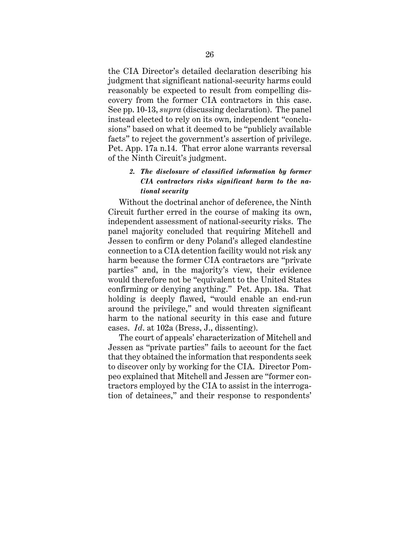the CIA Director's detailed declaration describing his judgment that significant national-security harms could reasonably be expected to result from compelling discovery from the former CIA contractors in this case. See pp. 10-13, *supra* (discussing declaration). The panel instead elected to rely on its own, independent "conclusions" based on what it deemed to be "publicly available facts" to reject the government's assertion of privilege. Pet. App. 17a n.14. That error alone warrants reversal of the Ninth Circuit's judgment.

# *2. The disclosure of classified information by former CIA contractors risks significant harm to the national security*

Without the doctrinal anchor of deference, the Ninth Circuit further erred in the course of making its own, independent assessment of national-security risks. The panel majority concluded that requiring Mitchell and Jessen to confirm or deny Poland's alleged clandestine connection to a CIA detention facility would not risk any harm because the former CIA contractors are "private parties" and, in the majority's view, their evidence would therefore not be "equivalent to the United States confirming or denying anything." Pet. App. 18a. That holding is deeply flawed, "would enable an end-run around the privilege," and would threaten significant harm to the national security in this case and future cases. *Id*. at 102a (Bress, J., dissenting).

The court of appeals' characterization of Mitchell and Jessen as "private parties" fails to account for the fact that they obtained the information that respondents seek to discover only by working for the CIA. Director Pompeo explained that Mitchell and Jessen are "former contractors employed by the CIA to assist in the interrogation of detainees," and their response to respondents'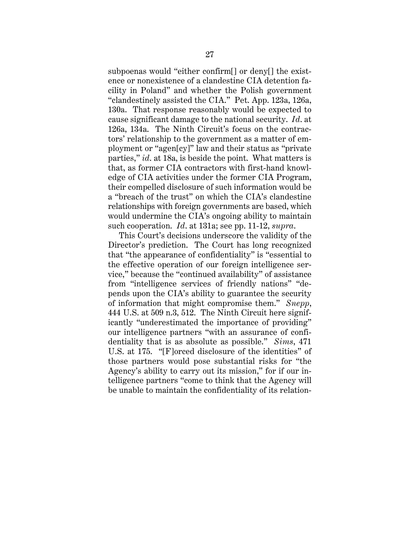subpoenas would "either confirm[] or deny[] the existence or nonexistence of a clandestine CIA detention facility in Poland" and whether the Polish government "clandestinely assisted the CIA." Pet. App. 123a, 126a, 130a. That response reasonably would be expected to cause significant damage to the national security. *Id*. at 126a, 134a. The Ninth Circuit's focus on the contractors' relationship to the government as a matter of employment or "agen[cy]" law and their status as "private parties," *id*. at 18a, is beside the point. What matters is that, as former CIA contractors with first-hand knowledge of CIA activities under the former CIA Program, their compelled disclosure of such information would be a "breach of the trust" on which the CIA's clandestine relationships with foreign governments are based, which would undermine the CIA's ongoing ability to maintain such cooperation. *Id*. at 131a; see pp. 11-12, *supra*.

This Court's decisions underscore the validity of the Director's prediction. The Court has long recognized that "the appearance of confidentiality" is "essential to the effective operation of our foreign intelligence service," because the "continued availability" of assistance from "intelligence services of friendly nations" "depends upon the CIA's ability to guarantee the security of information that might compromise them." *Snepp*, 444 U.S. at 509 n.3, 512. The Ninth Circuit here significantly "underestimated the importance of providing" our intelligence partners "with an assurance of confidentiality that is as absolute as possible." *Sims*, 471 U.S. at 175. "[F]orced disclosure of the identities" of those partners would pose substantial risks for "the Agency's ability to carry out its mission," for if our intelligence partners "come to think that the Agency will be unable to maintain the confidentiality of its relation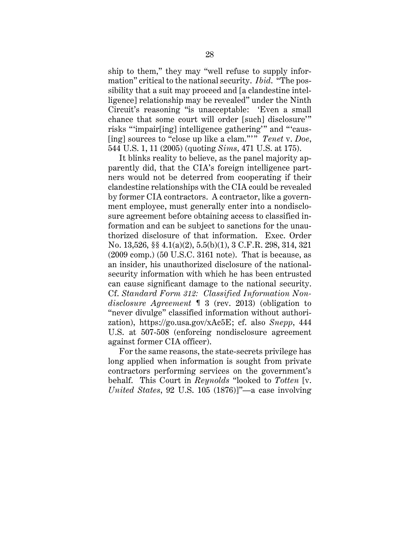ship to them," they may "well refuse to supply information" critical to the national security. *Ibid*. "The possibility that a suit may proceed and [a clandestine intelligence] relationship may be revealed" under the Ninth Circuit's reasoning "is unacceptable: 'Even a small chance that some court will order [such] disclosure'" risks "'impair[ing] intelligence gathering'" and "'caus- [ing] sources to "close up like a clam."' " *Tenet* v. *Doe*, 544 U.S. 1, 11 (2005) (quoting *Sims*, 471 U.S. at 175).

It blinks reality to believe, as the panel majority apparently did, that the CIA's foreign intelligence partners would not be deterred from cooperating if their clandestine relationships with the CIA could be revealed by former CIA contractors. A contractor, like a government employee, must generally enter into a nondisclosure agreement before obtaining access to classified information and can be subject to sanctions for the unauthorized disclosure of that information. Exec. Order No. 13,526, §§ 4.1(a)(2), 5.5(b)(1), 3 C.F.R. 298, 314, 321 (2009 comp.) (50 U.S.C. 3161 note). That is because, as an insider, his unauthorized disclosure of the nationalsecurity information with which he has been entrusted can cause significant damage to the national security. Cf. *Standard Form 312: Classified Information Nondisclosure Agreement* ¶ 3 (rev. 2013) (obligation to "never divulge" classified information without authorization), https://go.usa.gov/xAc5E; cf. also *Snepp*, 444 U.S. at 507-508 (enforcing nondisclosure agreement against former CIA officer).

For the same reasons, the state-secrets privilege has long applied when information is sought from private contractors performing services on the government's behalf. This Court in *Reynolds* "looked to *Totten* [v. *United States*, 92 U.S. 105 (1876)]"—a case involving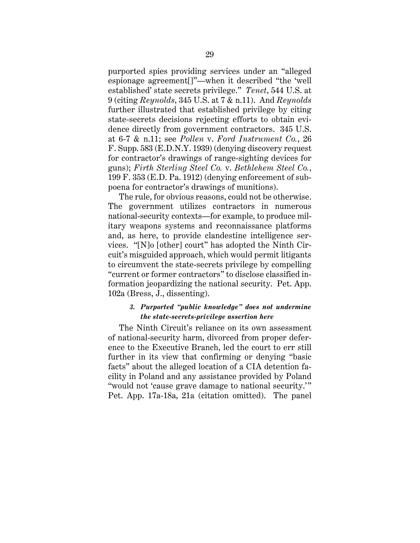purported spies providing services under an "alleged espionage agreement[]"—when it described "the 'well established' state secrets privilege." *Tenet*, 544 U.S. at 9 (citing *Reynolds*, 345 U.S. at 7 & n.11). And *Reynolds* further illustrated that established privilege by citing state-secrets decisions rejecting efforts to obtain evidence directly from government contractors. 345 U.S. at 6-7 & n.11; see *Pollen* v. *Ford Instrument Co.*, 26 F. Supp. 583 (E.D.N.Y. 1939) (denying discovery request for contractor's drawings of range-sighting devices for guns); *Firth Sterling Steel Co.* v. *Bethlehem Steel Co.*, 199 F. 353 (E.D. Pa. 1912) (denying enforcement of subpoena for contractor's drawings of munitions).

The rule, for obvious reasons, could not be otherwise. The government utilizes contractors in numerous national-security contexts—for example, to produce military weapons systems and reconnaissance platforms and, as here, to provide clandestine intelligence services. "[N]o [other] court" has adopted the Ninth Circuit's misguided approach, which would permit litigants to circumvent the state-secrets privilege by compelling "current or former contractors" to disclose classified information jeopardizing the national security. Pet. App. 102a (Bress, J., dissenting).

## *3. Purported "public knowledge" does not undermine the state-secrets-privilege assertion here*

The Ninth Circuit's reliance on its own assessment of national-security harm, divorced from proper deference to the Executive Branch, led the court to err still further in its view that confirming or denying "basic facts" about the alleged location of a CIA detention facility in Poland and any assistance provided by Poland "would not 'cause grave damage to national security.'" Pet. App. 17a-18a, 21a (citation omitted). The panel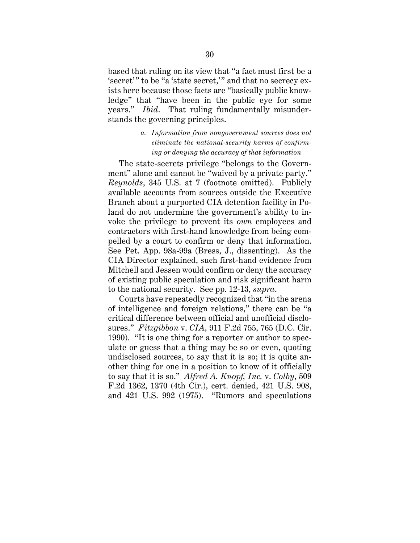based that ruling on its view that "a fact must first be a 'secret'" to be "a 'state secret," and that no secrecy exists here because those facts are "basically public knowledge" that "have been in the public eye for some years." *Ibid*. That ruling fundamentally misunderstands the governing principles.

# *a. Information from nongovernment sources does not eliminate the national-security harms of confirming or denying the accuracy of that information*

The state-secrets privilege "belongs to the Government" alone and cannot be "waived by a private party." *Reynolds*, 345 U.S. at 7 (footnote omitted). Publicly available accounts from sources outside the Executive Branch about a purported CIA detention facility in Poland do not undermine the government's ability to invoke the privilege to prevent its *own* employees and contractors with first-hand knowledge from being compelled by a court to confirm or deny that information. See Pet. App. 98a-99a (Bress, J., dissenting). As the CIA Director explained, such first-hand evidence from Mitchell and Jessen would confirm or deny the accuracy of existing public speculation and risk significant harm to the national security. See pp. 12-13, *supra*.

Courts have repeatedly recognized that "in the arena of intelligence and foreign relations," there can be "a critical difference between official and unofficial disclosures." *Fitzgibbon* v. *CIA*, 911 F.2d 755, 765 (D.C. Cir. 1990). "It is one thing for a reporter or author to speculate or guess that a thing may be so or even, quoting undisclosed sources, to say that it is so; it is quite another thing for one in a position to know of it officially to say that it is so." *Alfred A. Knopf, Inc.* v. *Colby*, 509 F.2d 1362, 1370 (4th Cir.), cert. denied, 421 U.S. 908, and 421 U.S. 992 (1975). "Rumors and speculations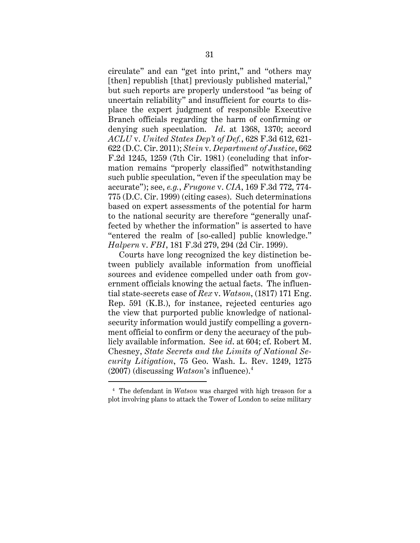circulate" and can "get into print," and "others may [then] republish [that] previously published material," but such reports are properly understood "as being of uncertain reliability" and insufficient for courts to displace the expert judgment of responsible Executive Branch officials regarding the harm of confirming or denying such speculation. *Id*. at 1368, 1370; accord *ACLU* v. *United States Dep't of Def.*, 628 F.3d 612, 621- 622 (D.C. Cir. 2011); *Stein* v. *Department of Justice*, 662 F.2d 1245, 1259 (7th Cir. 1981) (concluding that information remains "properly classified" notwithstanding such public speculation, "even if the speculation may be accurate"); see, *e.g.*, *Frugone* v. *CIA*, 169 F.3d 772, 774- 775 (D.C. Cir. 1999) (citing cases). Such determinations based on expert assessments of the potential for harm to the national security are therefore "generally unaffected by whether the information" is asserted to have "entered the realm of [so-called] public knowledge." *Halpern* v. *FBI*, 181 F.3d 279, 294 (2d Cir. 1999).

Courts have long recognized the key distinction between publicly available information from unofficial sources and evidence compelled under oath from government officials knowing the actual facts. The influential state-secrets case of *Rex* v. *Watson*, (1817) 171 Eng. Rep. 591 (K.B.), for instance, rejected centuries ago the view that purported public knowledge of nationalsecurity information would justify compelling a government official to confirm or deny the accuracy of the publicly available information. See *id*. at 604; cf. Robert M. Chesney, *State Secrets and the Limits of National Security Litigation*, 75 Geo. Wash. L. Rev. 1249, 1275 (2007) (discussing *Watson*'s influence).4

<sup>4</sup> The defendant in *Watson* was charged with high treason for a plot involving plans to attack the Tower of London to seize military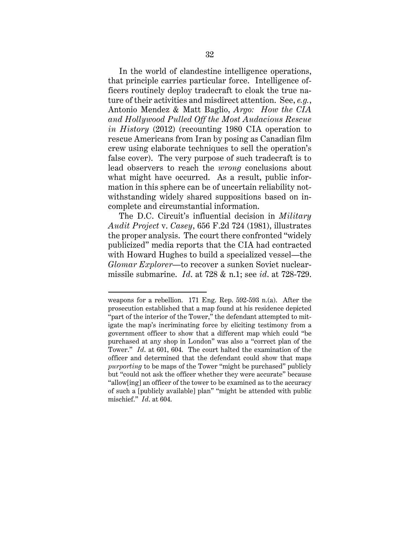In the world of clandestine intelligence operations, that principle carries particular force. Intelligence officers routinely deploy tradecraft to cloak the true nature of their activities and misdirect attention. See, *e.g.*, Antonio Mendez & Matt Baglio, *Argo: How the CIA and Hollywood Pulled Off the Most Audacious Rescue in History* (2012) (recounting 1980 CIA operation to rescue Americans from Iran by posing as Canadian film crew using elaborate techniques to sell the operation's false cover). The very purpose of such tradecraft is to lead observers to reach the *wrong* conclusions about what might have occurred. As a result, public information in this sphere can be of uncertain reliability notwithstanding widely shared suppositions based on incomplete and circumstantial information.

The D.C. Circuit's influential decision in *Military Audit Project* v. *Casey*, 656 F.2d 724 (1981), illustrates the proper analysis. The court there confronted "widely publicized" media reports that the CIA had contracted with Howard Hughes to build a specialized vessel—the *Glomar Explorer*—to recover a sunken Soviet nuclearmissile submarine. *Id*. at 728 & n.1; see *id*. at 728-729.

weapons for a rebellion. 171 Eng. Rep. 592-593 n.(a). After the prosecution established that a map found at his residence depicted "part of the interior of the Tower," the defendant attempted to mitigate the map's incriminating force by eliciting testimony from a government officer to show that a different map which could "be purchased at any shop in London" was also a "correct plan of the Tower." *Id*. at 601, 604. The court halted the examination of the officer and determined that the defendant could show that maps *purporting* to be maps of the Tower "might be purchased" publicly but "could not ask the officer whether they were accurate" because "allow[ing] an officer of the tower to be examined as to the accuracy of such a [publicly available] plan" "might be attended with public mischief." *Id*. at 604.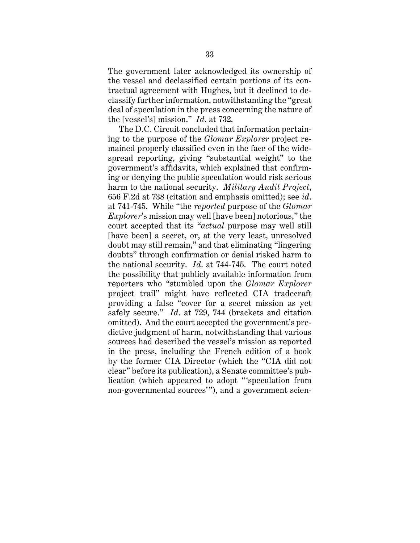The government later acknowledged its ownership of the vessel and declassified certain portions of its contractual agreement with Hughes, but it declined to declassify further information, notwithstanding the "great deal of speculation in the press concerning the nature of the [vessel's] mission." *Id*. at 732.

The D.C. Circuit concluded that information pertaining to the purpose of the *Glomar Explorer* project remained properly classified even in the face of the widespread reporting, giving "substantial weight" to the government's affidavits, which explained that confirming or denying the public speculation would risk serious harm to the national security. *Military Audit Project*, 656 F.2d at 738 (citation and emphasis omitted); see *id*. at 741-745. While "the *reported* purpose of the *Glomar Explorer*'s mission may well [have been] notorious," the court accepted that its "*actual* purpose may well still [have been] a secret, or, at the very least, unresolved doubt may still remain," and that eliminating "lingering doubts" through confirmation or denial risked harm to the national security. *Id*. at 744-745. The court noted the possibility that publicly available information from reporters who "stumbled upon the *Glomar Explorer* project trail" might have reflected CIA tradecraft providing a false "cover for a secret mission as yet safely secure." *Id*. at 729, 744 (brackets and citation omitted). And the court accepted the government's predictive judgment of harm, notwithstanding that various sources had described the vessel's mission as reported in the press, including the French edition of a book by the former CIA Director (which the "CIA did not clear" before its publication), a Senate committee's publication (which appeared to adopt "'speculation from non-governmental sources'"), and a government scien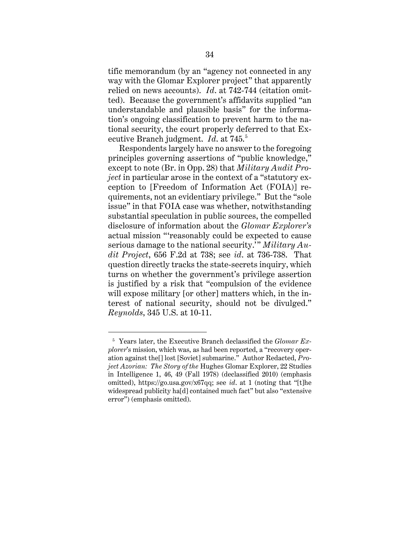tific memorandum (by an "agency not connected in any way with the Glomar Explorer project" that apparently relied on news accounts). *Id*. at 742-744 (citation omitted). Because the government's affidavits supplied "an understandable and plausible basis" for the information's ongoing classification to prevent harm to the national security, the court properly deferred to that Executive Branch judgment. *Id*. at 745. 5

Respondents largely have no answer to the foregoing principles governing assertions of "public knowledge," except to note (Br. in Opp. 28) that *Military Audit Project* in particular arose in the context of a "statutory exception to [Freedom of Information Act (FOIA)] requirements, not an evidentiary privilege." But the "sole issue" in that FOIA case was whether, notwithstanding substantial speculation in public sources, the compelled disclosure of information about the *Glomar Explorer's* actual mission "'reasonably could be expected to cause serious damage to the national security.'" *Military Audit Project*, 656 F.2d at 738; see *id*. at 736-738. That question directly tracks the state-secrets inquiry, which turns on whether the government's privilege assertion is justified by a risk that "compulsion of the evidence will expose military [or other] matters which, in the interest of national security, should not be divulged." *Reynolds*, 345 U.S. at 10-11.

<sup>5</sup> Years later, the Executive Branch declassified the *Glomar Explorer*'s mission, which was, as had been reported, a "recovery operation against the[] lost [Soviet] submarine." Author Redacted, *Project Azorian: The Story of the* Hughes Glomar Explorer, 22 Studies in Intelligence 1, 46, 49 (Fall 1978) (declassified 2010) (emphasis omitted), https://go.usa.gov/x67qq; see *id*. at 1 (noting that "[t]he widespread publicity ha[d] contained much fact" but also "extensive error") (emphasis omitted).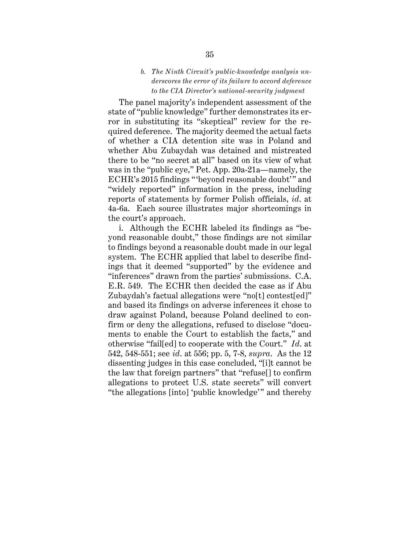## *b. The Ninth Circuit's public-knowledge analysis underscores the error of its failure to accord deference to the CIA Director's national-security judgment*

The panel majority's independent assessment of the state of "public knowledge" further demonstrates its error in substituting its "skeptical" review for the required deference. The majority deemed the actual facts of whether a CIA detention site was in Poland and whether Abu Zubaydah was detained and mistreated there to be "no secret at all" based on its view of what was in the "public eye," Pet. App. 20a-21a—namely, the ECHR's 2015 findings "beyond reasonable doubt'" and "widely reported" information in the press, including reports of statements by former Polish officials, *id*. at 4a-6a. Each source illustrates major shortcomings in the court's approach.

i. Although the ECHR labeled its findings as "beyond reasonable doubt," those findings are not similar to findings beyond a reasonable doubt made in our legal system. The ECHR applied that label to describe findings that it deemed "supported" by the evidence and "inferences" drawn from the parties' submissions. C.A. E.R. 549. The ECHR then decided the case as if Abu Zubaydah's factual allegations were "no[t] contest[ed]" and based its findings on adverse inferences it chose to draw against Poland, because Poland declined to confirm or deny the allegations, refused to disclose "documents to enable the Court to establish the facts," and otherwise "fail[ed] to cooperate with the Court." *Id*. at 542, 548-551; see *id*. at 556; pp. 5, 7-8, *supra*. As the 12 dissenting judges in this case concluded, "[i]t cannot be the law that foreign partners" that "refuse[] to confirm allegations to protect U.S. state secrets" will convert "the allegations [into] 'public knowledge'" and thereby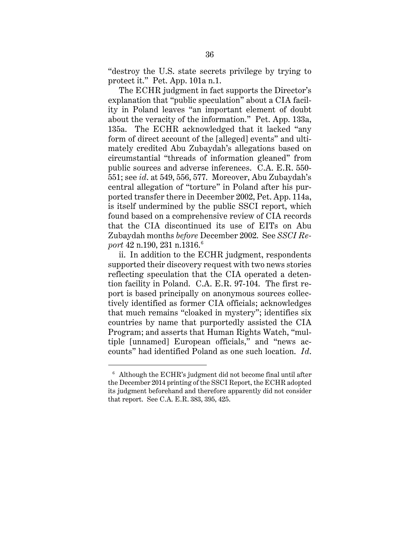"destroy the U.S. state secrets privilege by trying to protect it." Pet. App. 101a n.1.

The ECHR judgment in fact supports the Director's explanation that "public speculation" about a CIA facility in Poland leaves "an important element of doubt about the veracity of the information." Pet. App. 133a, 135a. The ECHR acknowledged that it lacked "any form of direct account of the [alleged] events" and ultimately credited Abu Zubaydah's allegations based on circumstantial "threads of information gleaned" from public sources and adverse inferences. C.A. E.R. 550- 551; see *id*. at 549, 556, 577. Moreover, Abu Zubaydah's central allegation of "torture" in Poland after his purported transfer there in December 2002, Pet. App. 114a, is itself undermined by the public SSCI report, which found based on a comprehensive review of CIA records that the CIA discontinued its use of EITs on Abu Zubaydah months *before* December 2002. See *SSCI Re*port 42 n.190, 231 n.1316.<sup>6</sup>

ii. In addition to the ECHR judgment, respondents supported their discovery request with two news stories reflecting speculation that the CIA operated a detention facility in Poland. C.A. E.R. 97-104. The first report is based principally on anonymous sources collectively identified as former CIA officials; acknowledges that much remains "cloaked in mystery"; identifies six countries by name that purportedly assisted the CIA Program; and asserts that Human Rights Watch, "multiple [unnamed] European officials," and "news accounts" had identified Poland as one such location. *Id*.

 $6$  Although the ECHR's judgment did not become final until after the December 2014 printing of the SSCI Report, the ECHR adopted its judgment beforehand and therefore apparently did not consider that report. See C.A. E.R. 383, 395, 425.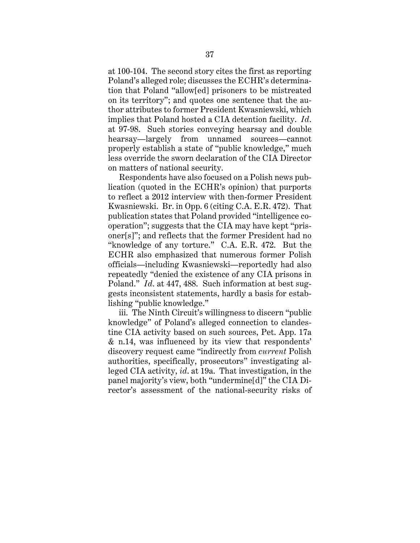at 100-104. The second story cites the first as reporting Poland's alleged role; discusses the ECHR's determination that Poland "allow[ed] prisoners to be mistreated on its territory"; and quotes one sentence that the author attributes to former President Kwasniewski, which implies that Poland hosted a CIA detention facility. *Id*. at 97-98. Such stories conveying hearsay and double hearsay—largely from unnamed sources—cannot properly establish a state of "public knowledge," much less override the sworn declaration of the CIA Director on matters of national security.

Respondents have also focused on a Polish news publication (quoted in the ECHR's opinion) that purports to reflect a 2012 interview with then-former President Kwasniewski. Br. in Opp. 6 (citing C.A. E.R. 472). That publication states that Poland provided "intelligence cooperation"; suggests that the CIA may have kept "prisoner[s]"; and reflects that the former President had no "knowledge of any torture." C.A. E.R. 472. But the ECHR also emphasized that numerous former Polish officials—including Kwasniewski—reportedly had also repeatedly "denied the existence of any CIA prisons in Poland." *Id*. at 447, 488. Such information at best suggests inconsistent statements, hardly a basis for establishing "public knowledge."

iii. The Ninth Circuit's willingness to discern "public knowledge" of Poland's alleged connection to clandestine CIA activity based on such sources, Pet. App. 17a & n.14, was influenced by its view that respondents' discovery request came "indirectly from *current* Polish authorities, specifically, prosecutors" investigating alleged CIA activity, *id*. at 19a. That investigation, in the panel majority's view, both "undermine[d]" the CIA Director's assessment of the national-security risks of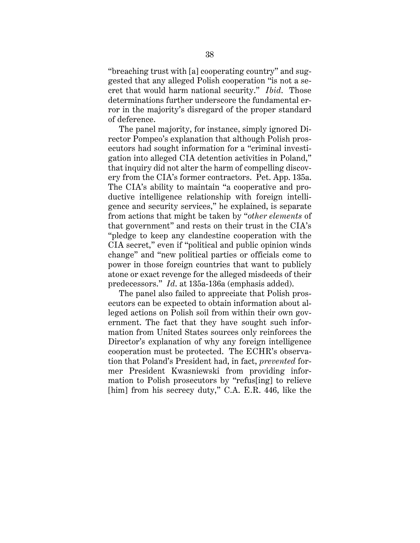"breaching trust with [a] cooperating country" and suggested that any alleged Polish cooperation "is not a secret that would harm national security." *Ibid*. Those determinations further underscore the fundamental error in the majority's disregard of the proper standard of deference.

The panel majority, for instance, simply ignored Director Pompeo's explanation that although Polish prosecutors had sought information for a "criminal investigation into alleged CIA detention activities in Poland," that inquiry did not alter the harm of compelling discovery from the CIA's former contractors. Pet. App. 135a. The CIA's ability to maintain "a cooperative and productive intelligence relationship with foreign intelligence and security services," he explained, is separate from actions that might be taken by "*other elements* of that government" and rests on their trust in the CIA's "pledge to keep any clandestine cooperation with the CIA secret," even if "political and public opinion winds change" and "new political parties or officials come to power in those foreign countries that want to publicly atone or exact revenge for the alleged misdeeds of their predecessors." *Id*. at 135a-136a (emphasis added).

The panel also failed to appreciate that Polish prosecutors can be expected to obtain information about alleged actions on Polish soil from within their own government. The fact that they have sought such information from United States sources only reinforces the Director's explanation of why any foreign intelligence cooperation must be protected. The ECHR's observation that Poland's President had, in fact, *prevented* former President Kwasniewski from providing information to Polish prosecutors by "refus[ing] to relieve [him] from his secrecy duty," C.A. E.R. 446, like the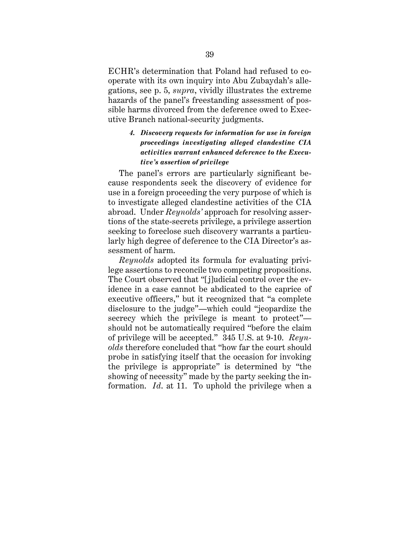ECHR's determination that Poland had refused to cooperate with its own inquiry into Abu Zubaydah's allegations, see p. 5, *supra*, vividly illustrates the extreme hazards of the panel's freestanding assessment of possible harms divorced from the deference owed to Executive Branch national-security judgments.

# *4. Discovery requests for information for use in foreign proceedings investigating alleged clandestine CIA activities warrant enhanced deference to the Executive's assertion of privilege*

The panel's errors are particularly significant because respondents seek the discovery of evidence for use in a foreign proceeding the very purpose of which is to investigate alleged clandestine activities of the CIA abroad. Under *Reynolds'* approach for resolving assertions of the state-secrets privilege, a privilege assertion seeking to foreclose such discovery warrants a particularly high degree of deference to the CIA Director's assessment of harm.

*Reynolds* adopted its formula for evaluating privilege assertions to reconcile two competing propositions. The Court observed that "[j]udicial control over the evidence in a case cannot be abdicated to the caprice of executive officers," but it recognized that "a complete disclosure to the judge"—which could "jeopardize the secrecy which the privilege is meant to protect" should not be automatically required "before the claim of privilege will be accepted." 345 U.S. at 9-10. *Reynolds* therefore concluded that "how far the court should probe in satisfying itself that the occasion for invoking the privilege is appropriate" is determined by "the showing of necessity" made by the party seeking the information. *Id*. at 11. To uphold the privilege when a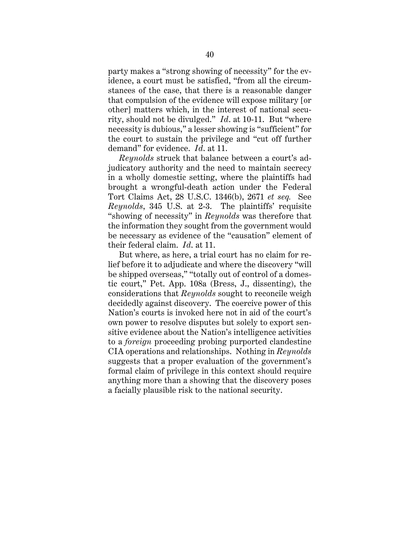party makes a "strong showing of necessity" for the evidence, a court must be satisfied, "from all the circumstances of the case, that there is a reasonable danger that compulsion of the evidence will expose military [or other] matters which, in the interest of national security, should not be divulged." *Id*. at 10-11. But "where necessity is dubious," a lesser showing is "sufficient" for the court to sustain the privilege and "cut off further demand" for evidence. *Id*. at 11.

*Reynolds* struck that balance between a court's adjudicatory authority and the need to maintain secrecy in a wholly domestic setting, where the plaintiffs had brought a wrongful-death action under the Federal Tort Claims Act, 28 U.S.C. 1346(b), 2671 *et seq.* See *Reynolds*, 345 U.S. at 2-3. The plaintiffs' requisite "showing of necessity" in *Reynolds* was therefore that the information they sought from the government would be necessary as evidence of the "causation" element of their federal claim. *Id*. at 11.

But where, as here, a trial court has no claim for relief before it to adjudicate and where the discovery "will be shipped overseas," "totally out of control of a domestic court," Pet. App. 108a (Bress, J., dissenting), the considerations that *Reynolds* sought to reconcile weigh decidedly against discovery. The coercive power of this Nation's courts is invoked here not in aid of the court's own power to resolve disputes but solely to export sensitive evidence about the Nation's intelligence activities to a *foreign* proceeding probing purported clandestine CIA operations and relationships. Nothing in *Reynolds* suggests that a proper evaluation of the government's formal claim of privilege in this context should require anything more than a showing that the discovery poses a facially plausible risk to the national security.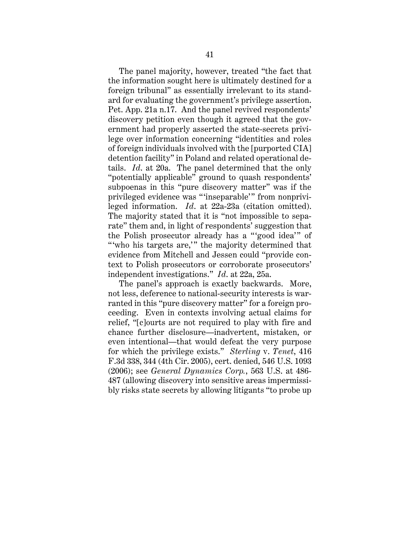The panel majority, however, treated "the fact that the information sought here is ultimately destined for a foreign tribunal" as essentially irrelevant to its standard for evaluating the government's privilege assertion. Pet. App. 21a n.17. And the panel revived respondents' discovery petition even though it agreed that the government had properly asserted the state-secrets privilege over information concerning "identities and roles of foreign individuals involved with the [purported CIA] detention facility" in Poland and related operational details. *Id*. at 20a. The panel determined that the only "potentially applicable" ground to quash respondents' subpoenas in this "pure discovery matter" was if the privileged evidence was " 'inseparable'" from nonprivileged information. *Id*. at 22a-23a (citation omitted). The majority stated that it is "not impossible to separate" them and, in light of respondents' suggestion that the Polish prosecutor already has a "good idea" of " who his targets are," the majority determined that evidence from Mitchell and Jessen could "provide context to Polish prosecutors or corroborate prosecutors' independent investigations." *Id*. at 22a, 25a.

The panel's approach is exactly backwards. More, not less, deference to national-security interests is warranted in this "pure discovery matter" for a foreign proceeding. Even in contexts involving actual claims for relief, "[c]ourts are not required to play with fire and chance further disclosure—inadvertent, mistaken, or even intentional—that would defeat the very purpose for which the privilege exists." *Sterling* v. *Tenet*, 416 F.3d 338, 344 (4th Cir. 2005), cert. denied, 546 U.S. 1093 (2006); see *General Dynamics Corp.*, 563 U.S. at 486- 487 (allowing discovery into sensitive areas impermissibly risks state secrets by allowing litigants "to probe up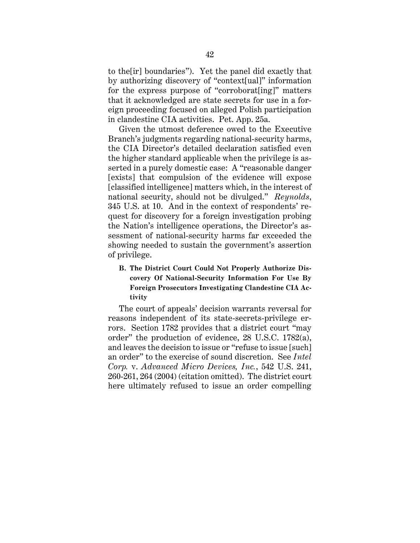to the[ir] boundaries"). Yet the panel did exactly that by authorizing discovery of "context[ual]" information for the express purpose of "corroborat[ing]" matters that it acknowledged are state secrets for use in a foreign proceeding focused on alleged Polish participation in clandestine CIA activities. Pet. App. 25a.

Given the utmost deference owed to the Executive Branch's judgments regarding national-security harms, the CIA Director's detailed declaration satisfied even the higher standard applicable when the privilege is asserted in a purely domestic case: A "reasonable danger [exists] that compulsion of the evidence will expose [classified intelligence] matters which, in the interest of national security, should not be divulged." *Reynolds*, 345 U.S. at 10. And in the context of respondents' request for discovery for a foreign investigation probing the Nation's intelligence operations, the Director's assessment of national-security harms far exceeded the showing needed to sustain the government's assertion of privilege.

# **B. The District Court Could Not Properly Authorize Discovery Of National-Security Information For Use By Foreign Prosecutors Investigating Clandestine CIA Activity**

The court of appeals' decision warrants reversal for reasons independent of its state-secrets-privilege errors. Section 1782 provides that a district court "may order" the production of evidence, 28 U.S.C. 1782(a), and leaves the decision to issue or "refuse to issue [such] an order" to the exercise of sound discretion. See *Intel Corp.* v. *Advanced Micro Devices, Inc.*, 542 U.S. 241, 260-261, 264 (2004) (citation omitted). The district court here ultimately refused to issue an order compelling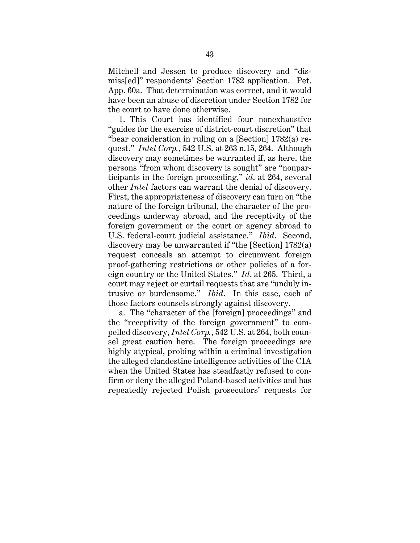Mitchell and Jessen to produce discovery and "dismiss[ed]" respondents' Section 1782 application. Pet. App. 60a. That determination was correct, and it would have been an abuse of discretion under Section 1782 for the court to have done otherwise.

1. This Court has identified four nonexhaustive "guides for the exercise of district-court discretion" that "bear consideration in ruling on a [Section] 1782(a) request." *Intel Corp.*, 542 U.S. at 263 n.15, 264. Although discovery may sometimes be warranted if, as here, the persons "from whom discovery is sought" are "nonparticipants in the foreign proceeding," *id*. at 264, several other *Intel* factors can warrant the denial of discovery. First, the appropriateness of discovery can turn on "the nature of the foreign tribunal, the character of the proceedings underway abroad, and the receptivity of the foreign government or the court or agency abroad to U.S. federal-court judicial assistance." *Ibid*. Second, discovery may be unwarranted if "the [Section] 1782(a) request conceals an attempt to circumvent foreign proof-gathering restrictions or other policies of a foreign country or the United States." *Id*. at 265. Third, a court may reject or curtail requests that are "unduly intrusive or burdensome." *Ibid*. In this case, each of those factors counsels strongly against discovery.

a. The "character of the [foreign] proceedings" and the "receptivity of the foreign government" to compelled discovery, *Intel Corp.*, 542 U.S. at 264, both counsel great caution here. The foreign proceedings are highly atypical, probing within a criminal investigation the alleged clandestine intelligence activities of the CIA when the United States has steadfastly refused to confirm or deny the alleged Poland-based activities and has repeatedly rejected Polish prosecutors' requests for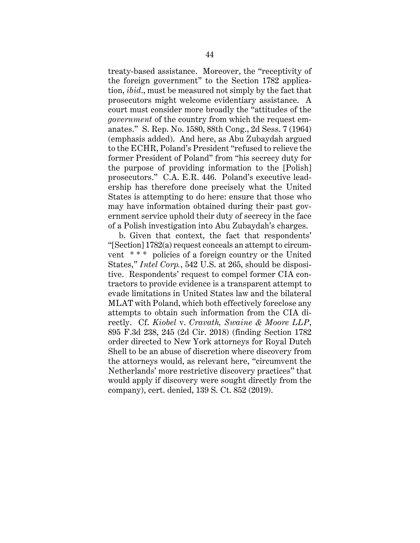treaty-based assistance. Moreover, the "receptivity of the foreign government" to the Section 1782 application, *ibid*., must be measured not simply by the fact that prosecutors might welcome evidentiary assistance. A court must consider more broadly the "attitudes of the *government* of the country from which the request emanates." S. Rep. No. 1580, 88th Cong., 2d Sess. 7 (1964) (emphasis added). And here, as Abu Zubaydah argued to the ECHR, Poland's President "refused to relieve the former President of Poland" from "his secrecy duty for the purpose of providing information to the [Polish] prosecutors." C.A. E.R. 446. Poland's executive leadership has therefore done precisely what the United States is attempting to do here: ensure that those who may have information obtained during their past government service uphold their duty of secrecy in the face of a Polish investigation into Abu Zubaydah's charges.

b. Given that context, the fact that respondents' "[Section] 1782(a) request conceals an attempt to circumvent \* \* \* policies of a foreign country or the United States," *Intel Corp.*, 542 U.S. at 265, should be dispositive. Respondents' request to compel former CIA contractors to provide evidence is a transparent attempt to evade limitations in United States law and the bilateral MLAT with Poland, which both effectively foreclose any attempts to obtain such information from the CIA directly. Cf. *Kiobel* v. *Cravath, Swaine & Moore LLP*, 895 F.3d 238, 245 (2d Cir. 2018) (finding Section 1782 order directed to New York attorneys for Royal Dutch Shell to be an abuse of discretion where discovery from the attorneys would, as relevant here, "circumvent the Netherlands' more restrictive discovery practices" that would apply if discovery were sought directly from the company), cert. denied, 139 S. Ct. 852 (2019).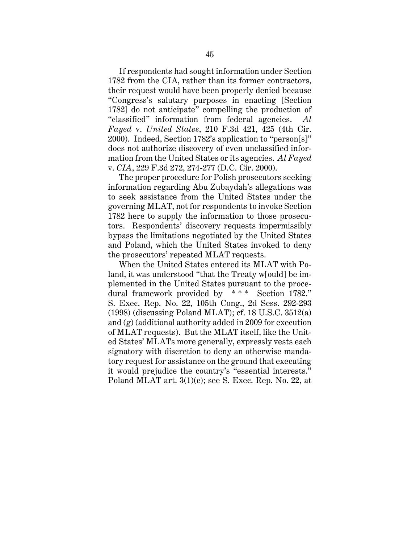If respondents had sought information under Section 1782 from the CIA, rather than its former contractors, their request would have been properly denied because "Congress's salutary purposes in enacting [Section 1782] do not anticipate" compelling the production of "classified" information from federal agencies. *Al Fayed* v. *United States*, 210 F.3d 421, 425 (4th Cir. 2000). Indeed, Section 1782's application to "person[s]" does not authorize discovery of even unclassified information from the United States or its agencies. *Al Fayed* v. *CIA*, 229 F.3d 272, 274-277 (D.C. Cir. 2000).

The proper procedure for Polish prosecutors seeking information regarding Abu Zubaydah's allegations was to seek assistance from the United States under the governing MLAT, not for respondents to invoke Section 1782 here to supply the information to those prosecutors. Respondents' discovery requests impermissibly bypass the limitations negotiated by the United States and Poland, which the United States invoked to deny the prosecutors' repeated MLAT requests.

When the United States entered its MLAT with Poland, it was understood "that the Treaty w[ould] be implemented in the United States pursuant to the procedural framework provided by \* \* \* Section 1782." S. Exec. Rep. No. 22, 105th Cong., 2d Sess. 292-293 (1998) (discussing Poland MLAT); cf. 18 U.S.C. 3512(a) and (g) (additional authority added in 2009 for execution of MLAT requests). But the MLAT itself, like the United States' MLATs more generally, expressly vests each signatory with discretion to deny an otherwise mandatory request for assistance on the ground that executing it would prejudice the country's "essential interests." Poland MLAT art. 3(1)(c); see S. Exec. Rep. No. 22, at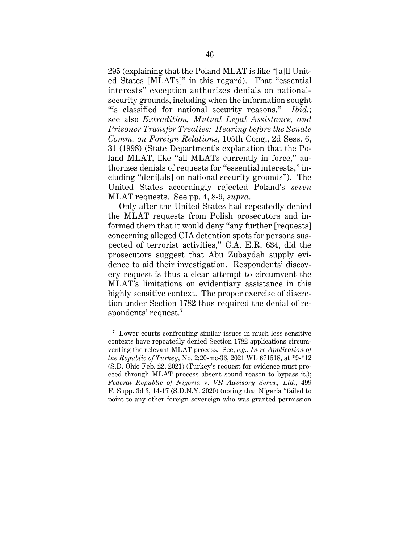295 (explaining that the Poland MLAT is like "[a]ll United States [MLATs]" in this regard). That "essential interests" exception authorizes denials on nationalsecurity grounds, including when the information sought "is classified for national security reasons." *Ibid*.; see also *Extradition, Mutual Legal Assistance, and Prisoner Transfer Treaties: Hearing before the Senate Comm. on Foreign Relations*, 105th Cong., 2d Sess. 6, 31 (1998) (State Department's explanation that the Poland MLAT, like "all MLATs currently in force," authorizes denials of requests for "essential interests," including "deni[als] on national security grounds"). The United States accordingly rejected Poland's *seven* MLAT requests. See pp. 4, 8-9, *supra*.

Only after the United States had repeatedly denied the MLAT requests from Polish prosecutors and informed them that it would deny "any further [requests] concerning alleged CIA detention spots for persons suspected of terrorist activities," C.A. E.R. 634, did the prosecutors suggest that Abu Zubaydah supply evidence to aid their investigation. Respondents' discovery request is thus a clear attempt to circumvent the MLAT's limitations on evidentiary assistance in this highly sensitive context. The proper exercise of discretion under Section 1782 thus required the denial of respondents' request. 7

<sup>7</sup> Lower courts confronting similar issues in much less sensitive contexts have repeatedly denied Section 1782 applications circumventing the relevant MLAT process. See, *e.g.*, *In re Application of the Republic of Turkey*, No. 2:20-mc-36, 2021 WL 671518, at \*9-\*12 (S.D. Ohio Feb. 22, 2021) (Turkey's request for evidence must proceed through MLAT process absent sound reason to bypass it.); *Federal Republic of Nigeria* v. *VR Advisory Servs., Ltd.*, 499 F. Supp. 3d 3, 14-17 (S.D.N.Y. 2020) (noting that Nigeria "failed to point to any other foreign sovereign who was granted permission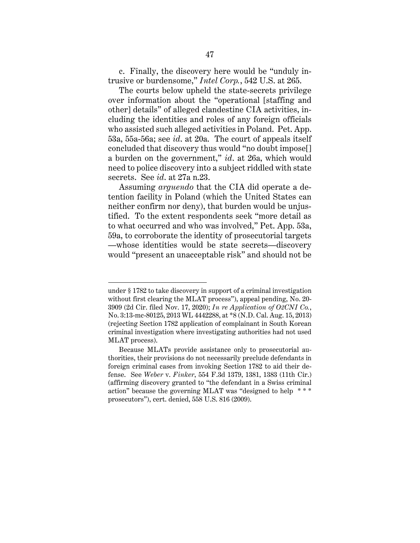c. Finally, the discovery here would be "unduly intrusive or burdensome," *Intel Corp.*, 542 U.S. at 265.

The courts below upheld the state-secrets privilege over information about the "operational [staffing and other] details" of alleged clandestine CIA activities, including the identities and roles of any foreign officials who assisted such alleged activities in Poland. Pet. App. 53a, 55a-56a; see *id*. at 20a. The court of appeals itself concluded that discovery thus would "no doubt impose[] a burden on the government," *id*. at 26a, which would need to police discovery into a subject riddled with state secrets. See *id*. at 27a n.23.

Assuming *arguendo* that the CIA did operate a detention facility in Poland (which the United States can neither confirm nor deny), that burden would be unjustified. To the extent respondents seek "more detail as to what occurred and who was involved," Pet. App. 53a, 59a, to corroborate the identity of prosecutorial targets —whose identities would be state secrets—discovery would "present an unacceptable risk" and should not be

under § 1782 to take discovery in support of a criminal investigation without first clearing the MLAT process"), appeal pending, No. 20- 3909 (2d Cir. filed Nov. 17, 2020); *In re Application of O2CNI Co.*, No. 3:13-mc-80125, 2013 WL 4442288, at \*8 (N.D. Cal. Aug. 15, 2013) (rejecting Section 1782 application of complainant in South Korean criminal investigation where investigating authorities had not used MLAT process).

Because MLATs provide assistance only to prosecutorial authorities, their provisions do not necessarily preclude defendants in foreign criminal cases from invoking Section 1782 to aid their defense. See *Weber* v. *Finker*, 554 F.3d 1379, 1381, 1383 (11th Cir.) (affirming discovery granted to "the defendant in a Swiss criminal action" because the governing MLAT was "designed to help \*\*\* prosecutors"), cert. denied, 558 U.S. 816 (2009).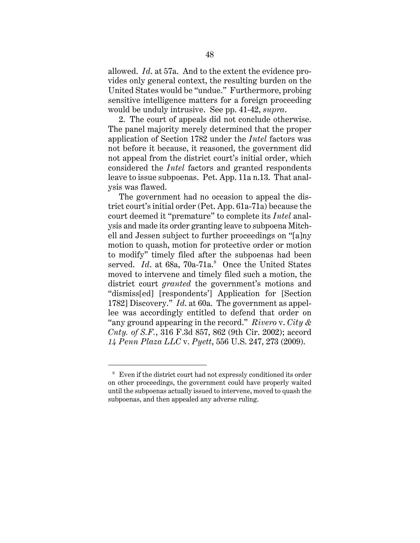allowed. *Id*. at 57a. And to the extent the evidence provides only general context, the resulting burden on the United States would be "undue." Furthermore, probing sensitive intelligence matters for a foreign proceeding would be unduly intrusive. See pp. 41-42, *supra*.

2. The court of appeals did not conclude otherwise. The panel majority merely determined that the proper application of Section 1782 under the *Intel* factors was not before it because, it reasoned, the government did not appeal from the district court's initial order, which considered the *Intel* factors and granted respondents leave to issue subpoenas. Pet. App. 11a n.13. That analysis was flawed.

The government had no occasion to appeal the district court's initial order (Pet. App. 61a-71a) because the court deemed it "premature" to complete its *Intel* analysis and made its order granting leave to subpoena Mitchell and Jessen subject to further proceedings on "[a]ny motion to quash, motion for protective order or motion to modify" timely filed after the subpoenas had been served. *Id.* at 68a, 70a-71a.<sup>8</sup> Once the United States moved to intervene and timely filed such a motion, the district court *granted* the government's motions and "dismiss[ed] [respondents'] Application for [Section 1782] Discovery." *Id*. at 60a. The government as appellee was accordingly entitled to defend that order on "any ground appearing in the record." *Rivero* v. *City & Cnty. of S.F.*, 316 F.3d 857, 862 (9th Cir. 2002); accord *14 Penn Plaza LLC* v. *Pyett*, 556 U.S. 247, 273 (2009).

<sup>8</sup> Even if the district court had not expressly conditioned its order on other proceedings, the government could have properly waited until the subpoenas actually issued to intervene, moved to quash the subpoenas, and then appealed any adverse ruling.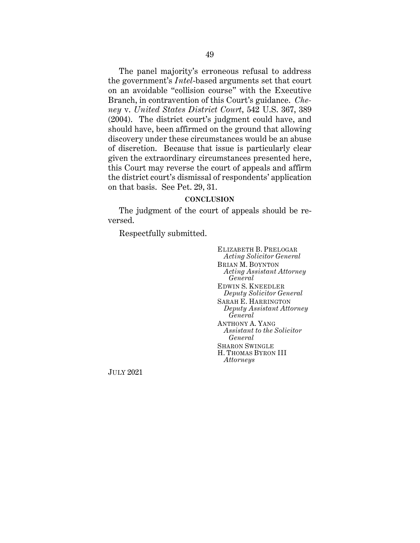The panel majority's erroneous refusal to address the government's *Intel*-based arguments set that court on an avoidable "collision course" with the Executive Branch, in contravention of this Court's guidance. *Cheney* v. *United States District Court*, 542 U.S. 367, 389 (2004). The district court's judgment could have, and should have, been affirmed on the ground that allowing discovery under these circumstances would be an abuse of discretion. Because that issue is particularly clear given the extraordinary circumstances presented here, this Court may reverse the court of appeals and affirm the district court's dismissal of respondents' application on that basis. See Pet. 29, 31.

#### **CONCLUSION**

The judgment of the court of appeals should be reversed.

Respectfully submitted.

ELIZABETH B. PRELOGAR *Acting Solicitor General* BRIAN M. BOYNTON *Acting Assistant Attorney General* EDWIN S. KNEEDLER *Deputy Solicitor General* SARAH E. HARRINGTON *Deputy Assistant Attorney General* ANTHONY A. YANG *Assistant to the Solicitor General* SHARON SWINGLE H. THOMAS BYRON III *Attorneys*

JULY 2021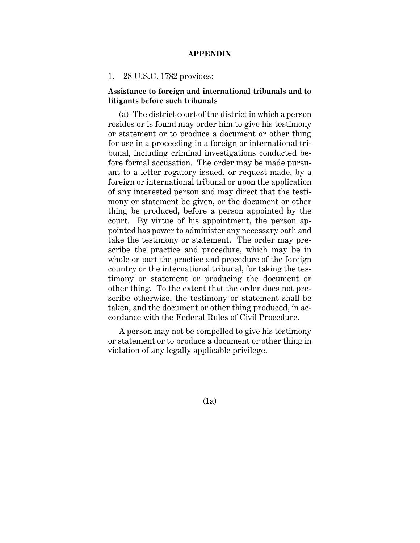#### **APPENDIX**

#### 1. 28 U.S.C. 1782 provides:

## **Assistance to foreign and international tribunals and to litigants before such tribunals**

(a) The district court of the district in which a person resides or is found may order him to give his testimony or statement or to produce a document or other thing for use in a proceeding in a foreign or international tribunal, including criminal investigations conducted before formal accusation. The order may be made pursuant to a letter rogatory issued, or request made, by a foreign or international tribunal or upon the application of any interested person and may direct that the testimony or statement be given, or the document or other thing be produced, before a person appointed by the court. By virtue of his appointment, the person appointed has power to administer any necessary oath and take the testimony or statement. The order may prescribe the practice and procedure, which may be in whole or part the practice and procedure of the foreign country or the international tribunal, for taking the testimony or statement or producing the document or other thing. To the extent that the order does not prescribe otherwise, the testimony or statement shall be taken, and the document or other thing produced, in accordance with the Federal Rules of Civil Procedure.

A person may not be compelled to give his testimony or statement or to produce a document or other thing in violation of any legally applicable privilege.

(1a)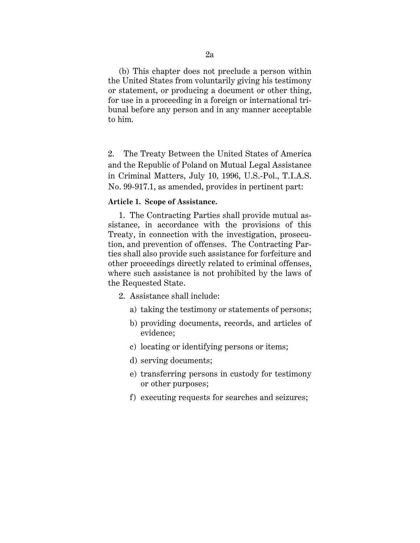(b) This chapter does not preclude a person within the United States from voluntarily giving his testimony or statement, or producing a document or other thing, for use in a proceeding in a foreign or international tribunal before any person and in any manner acceptable to him.

2. The Treaty Between the United States of America and the Republic of Poland on Mutual Legal Assistance in Criminal Matters, July 10, 1996, U.S.-Pol., T.I.A.S. No. 99-917.1, as amended, provides in pertinent part:

### **Article 1. Scope of Assistance.**

1. The Contracting Parties shall provide mutual assistance, in accordance with the provisions of this Treaty, in connection with the investigation, prosecution, and prevention of offenses. The Contracting Parties shall also provide such assistance for forfeiture and other proceedings directly related to criminal offenses, where such assistance is not prohibited by the laws of the Requested State.

- 2. Assistance shall include:
	- a) taking the testimony or statements of persons;
	- b) providing documents, records, and articles of evidence;
	- c) locating or identifying persons or items;
	- d) serving documents;
	- e) transferring persons in custody for testimony or other purposes;
	- f) executing requests for searches and seizures;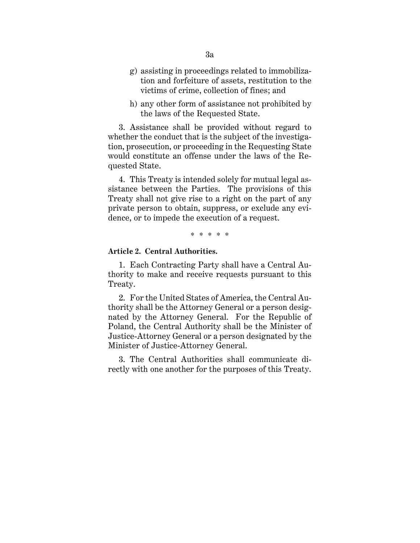- g) assisting in proceedings related to immobilization and forfeiture of assets, restitution to the victims of crime, collection of fines; and
- h) any other form of assistance not prohibited by the laws of the Requested State.

3. Assistance shall be provided without regard to whether the conduct that is the subject of the investigation, prosecution, or proceeding in the Requesting State would constitute an offense under the laws of the Requested State.

4. This Treaty is intended solely for mutual legal assistance between the Parties. The provisions of this Treaty shall not give rise to a right on the part of any private person to obtain, suppress, or exclude any evidence, or to impede the execution of a request.

\* \* \* \* \*

#### **Article 2. Central Authorities.**

1. Each Contracting Party shall have a Central Authority to make and receive requests pursuant to this Treaty.

2. For the United States of America, the Central Authority shall be the Attorney General or a person designated by the Attorney General. For the Republic of Poland, the Central Authority shall be the Minister of Justice-Attorney General or a person designated by the Minister of Justice-Attorney General.

3. The Central Authorities shall communicate directly with one another for the purposes of this Treaty.